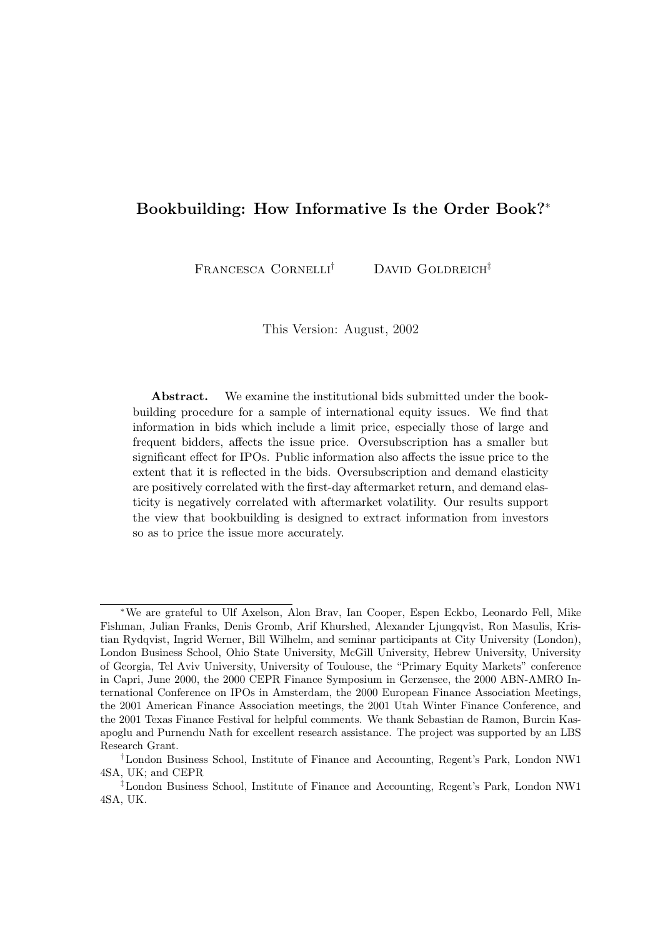# Bookbuilding: How Informative Is the Order Book?<sup>∗</sup>

FRANCESCA CORNELLI<sup>†</sup> DAVID GOLDREICH<sup>‡</sup>

This Version: August, 2002

Abstract. We examine the institutional bids submitted under the bookbuilding procedure for a sample of international equity issues. We find that information in bids which include a limit price, especially those of large and frequent bidders, affects the issue price. Oversubscription has a smaller but significant effect for IPOs. Public information also affects the issue price to the extent that it is reflected in the bids. Oversubscription and demand elasticity are positively correlated with the first-day aftermarket return, and demand elasticity is negatively correlated with aftermarket volatility. Our results support the view that bookbuilding is designed to extract information from investors so as to price the issue more accurately.

<sup>∗</sup>We are grateful to Ulf Axelson, Alon Brav, Ian Cooper, Espen Eckbo, Leonardo Fell, Mike Fishman, Julian Franks, Denis Gromb, Arif Khurshed, Alexander Ljungqvist, Ron Masulis, Kristian Rydqvist, Ingrid Werner, Bill Wilhelm, and seminar participants at City University (London), London Business School, Ohio State University, McGill University, Hebrew University, University of Georgia, Tel Aviv University, University of Toulouse, the "Primary Equity Markets" conference in Capri, June 2000, the 2000 CEPR Finance Symposium in Gerzensee, the 2000 ABN-AMRO International Conference on IPOs in Amsterdam, the 2000 European Finance Association Meetings, the 2001 American Finance Association meetings, the 2001 Utah Winter Finance Conference, and the 2001 Texas Finance Festival for helpful comments. We thank Sebastian de Ramon, Burcin Kasapoglu and Purnendu Nath for excellent research assistance. The project was supported by an LBS Research Grant.

<sup>†</sup>London Business School, Institute of Finance and Accounting, Regent's Park, London NW1 4SA, UK; and CEPR

<sup>‡</sup>London Business School, Institute of Finance and Accounting, Regent's Park, London NW1 4SA, UK.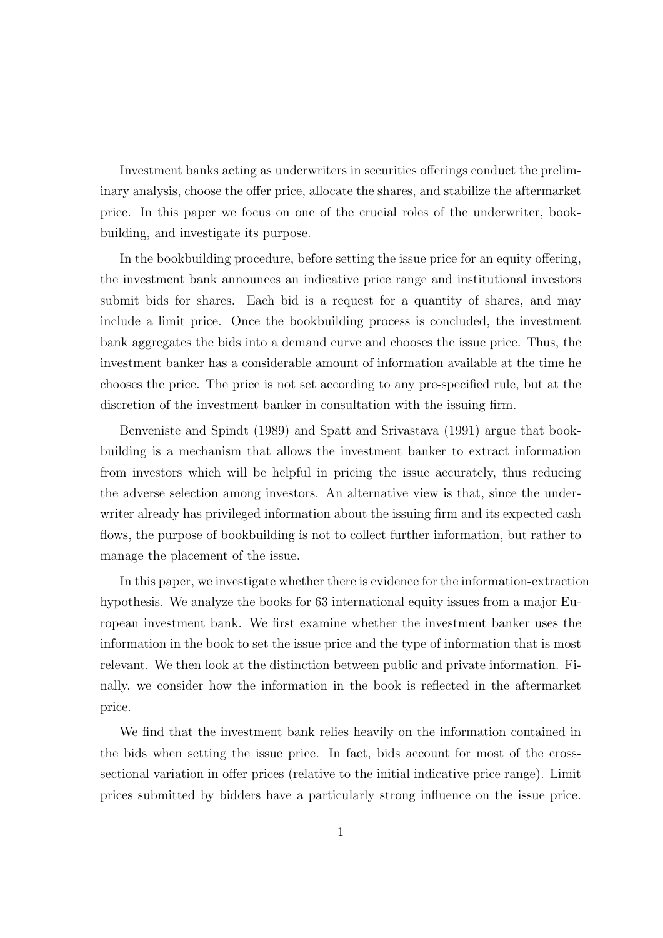Investment banks acting as underwriters in securities offerings conduct the preliminary analysis, choose the offer price, allocate the shares, and stabilize the aftermarket price. In this paper we focus on one of the crucial roles of the underwriter, bookbuilding, and investigate its purpose.

In the bookbuilding procedure, before setting the issue price for an equity offering, the investment bank announces an indicative price range and institutional investors submit bids for shares. Each bid is a request for a quantity of shares, and may include a limit price. Once the bookbuilding process is concluded, the investment bank aggregates the bids into a demand curve and chooses the issue price. Thus, the investment banker has a considerable amount of information available at the time he chooses the price. The price is not set according to any pre-specified rule, but at the discretion of the investment banker in consultation with the issuing firm.

Benveniste and Spindt (1989) and Spatt and Srivastava (1991) argue that bookbuilding is a mechanism that allows the investment banker to extract information from investors which will be helpful in pricing the issue accurately, thus reducing the adverse selection among investors. An alternative view is that, since the underwriter already has privileged information about the issuing firm and its expected cash flows, the purpose of bookbuilding is not to collect further information, but rather to manage the placement of the issue.

In this paper, we investigate whether there is evidence for the information-extraction hypothesis. We analyze the books for 63 international equity issues from a major European investment bank. We first examine whether the investment banker uses the information in the book to set the issue price and the type of information that is most relevant. We then look at the distinction between public and private information. Finally, we consider how the information in the book is reflected in the aftermarket price.

We find that the investment bank relies heavily on the information contained in the bids when setting the issue price. In fact, bids account for most of the crosssectional variation in offer prices (relative to the initial indicative price range). Limit prices submitted by bidders have a particularly strong influence on the issue price.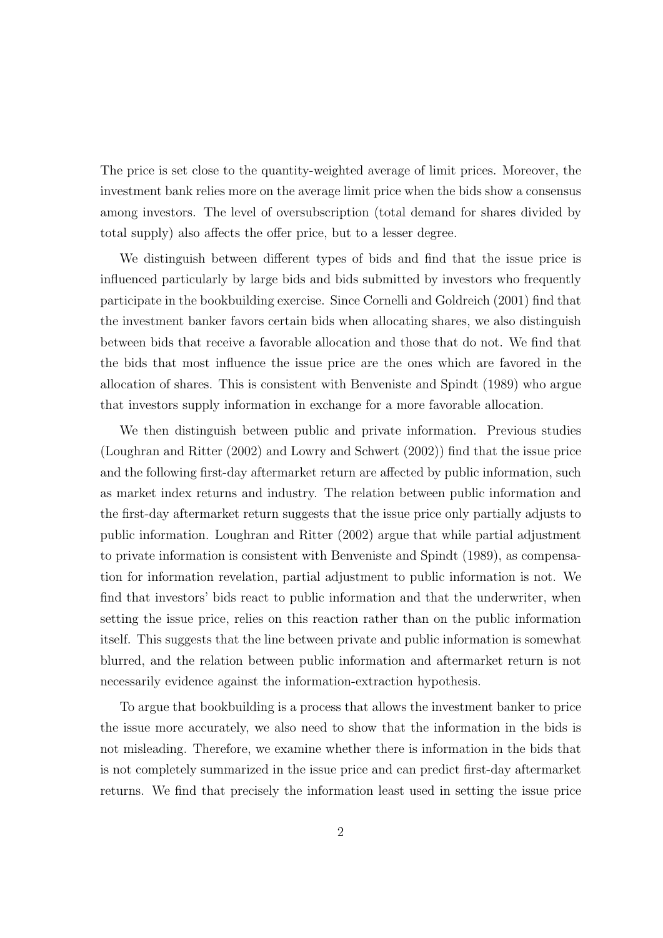The price is set close to the quantity-weighted average of limit prices. Moreover, the investment bank relies more on the average limit price when the bids show a consensus among investors. The level of oversubscription (total demand for shares divided by total supply) also affects the offer price, but to a lesser degree.

We distinguish between different types of bids and find that the issue price is influenced particularly by large bids and bids submitted by investors who frequently participate in the bookbuilding exercise. Since Cornelli and Goldreich (2001) find that the investment banker favors certain bids when allocating shares, we also distinguish between bids that receive a favorable allocation and those that do not. We find that the bids that most influence the issue price are the ones which are favored in the allocation of shares. This is consistent with Benveniste and Spindt (1989) who argue that investors supply information in exchange for a more favorable allocation.

We then distinguish between public and private information. Previous studies (Loughran and Ritter (2002) and Lowry and Schwert (2002)) find that the issue price and the following first-day aftermarket return are affected by public information, such as market index returns and industry. The relation between public information and the first-day aftermarket return suggests that the issue price only partially adjusts to public information. Loughran and Ritter (2002) argue that while partial adjustment to private information is consistent with Benveniste and Spindt (1989), as compensation for information revelation, partial adjustment to public information is not. We find that investors' bids react to public information and that the underwriter, when setting the issue price, relies on this reaction rather than on the public information itself. This suggests that the line between private and public information is somewhat blurred, and the relation between public information and aftermarket return is not necessarily evidence against the information-extraction hypothesis.

To argue that bookbuilding is a process that allows the investment banker to price the issue more accurately, we also need to show that the information in the bids is not misleading. Therefore, we examine whether there is information in the bids that is not completely summarized in the issue price and can predict first-day aftermarket returns. We find that precisely the information least used in setting the issue price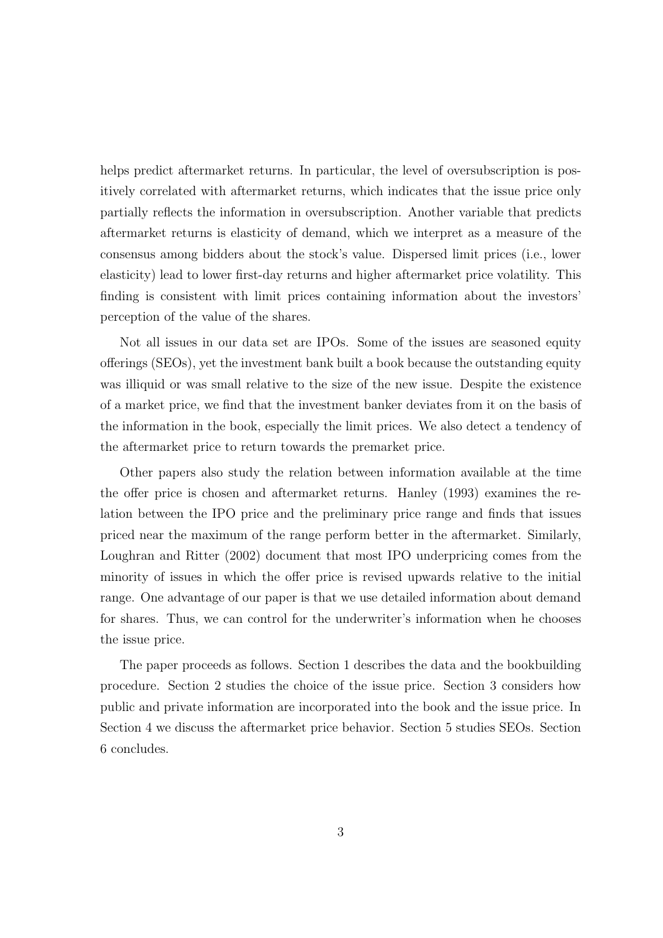helps predict aftermarket returns. In particular, the level of oversubscription is positively correlated with aftermarket returns, which indicates that the issue price only partially reflects the information in oversubscription. Another variable that predicts aftermarket returns is elasticity of demand, which we interpret as a measure of the consensus among bidders about the stock's value. Dispersed limit prices (i.e., lower elasticity) lead to lower first-day returns and higher aftermarket price volatility. This finding is consistent with limit prices containing information about the investors' perception of the value of the shares.

Not all issues in our data set are IPOs. Some of the issues are seasoned equity offerings (SEOs), yet the investment bank built a book because the outstanding equity was illiquid or was small relative to the size of the new issue. Despite the existence of a market price, we find that the investment banker deviates from it on the basis of the information in the book, especially the limit prices. We also detect a tendency of the aftermarket price to return towards the premarket price.

Other papers also study the relation between information available at the time the offer price is chosen and aftermarket returns. Hanley (1993) examines the relation between the IPO price and the preliminary price range and finds that issues priced near the maximum of the range perform better in the aftermarket. Similarly, Loughran and Ritter (2002) document that most IPO underpricing comes from the minority of issues in which the offer price is revised upwards relative to the initial range. One advantage of our paper is that we use detailed information about demand for shares. Thus, we can control for the underwriter's information when he chooses the issue price.

The paper proceeds as follows. Section 1 describes the data and the bookbuilding procedure. Section 2 studies the choice of the issue price. Section 3 considers how public and private information are incorporated into the book and the issue price. In Section 4 we discuss the aftermarket price behavior. Section 5 studies SEOs. Section 6 concludes.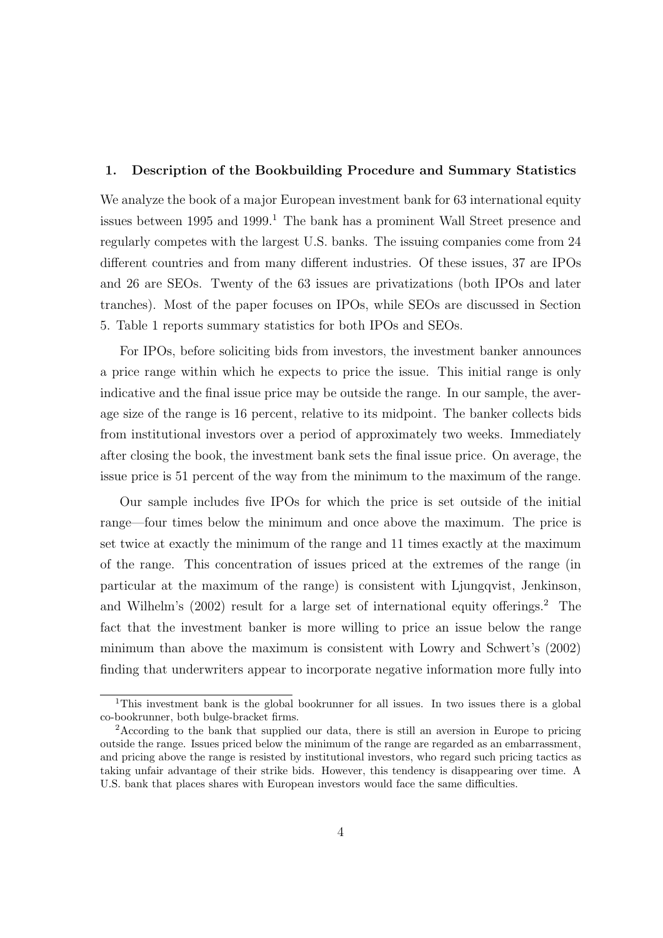## 1. Description of the Bookbuilding Procedure and Summary Statistics

We analyze the book of a major European investment bank for 63 international equity issues between  $1995$  and  $1999<sup>1</sup>$ . The bank has a prominent Wall Street presence and regularly competes with the largest U.S. banks. The issuing companies come from 24 different countries and from many different industries. Of these issues, 37 are IPOs and 26 are SEOs. Twenty of the 63 issues are privatizations (both IPOs and later tranches). Most of the paper focuses on IPOs, while SEOs are discussed in Section 5. Table 1 reports summary statistics for both IPOs and SEOs.

For IPOs, before soliciting bids from investors, the investment banker announces a price range within which he expects to price the issue. This initial range is only indicative and the final issue price may be outside the range. In our sample, the average size of the range is 16 percent, relative to its midpoint. The banker collects bids from institutional investors over a period of approximately two weeks. Immediately after closing the book, the investment bank sets the final issue price. On average, the issue price is 51 percent of the way from the minimum to the maximum of the range.

Our sample includes five IPOs for which the price is set outside of the initial range—four times below the minimum and once above the maximum. The price is set twice at exactly the minimum of the range and 11 times exactly at the maximum of the range. This concentration of issues priced at the extremes of the range (in particular at the maximum of the range) is consistent with Ljungqvist, Jenkinson, and Wilhelm's (2002) result for a large set of international equity offerings.<sup>2</sup> The fact that the investment banker is more willing to price an issue below the range minimum than above the maximum is consistent with Lowry and Schwert's (2002) finding that underwriters appear to incorporate negative information more fully into

<sup>1</sup>This investment bank is the global bookrunner for all issues. In two issues there is a global co-bookrunner, both bulge-bracket firms.

<sup>2</sup>According to the bank that supplied our data, there is still an aversion in Europe to pricing outside the range. Issues priced below the minimum of the range are regarded as an embarrassment, and pricing above the range is resisted by institutional investors, who regard such pricing tactics as taking unfair advantage of their strike bids. However, this tendency is disappearing over time. A U.S. bank that places shares with European investors would face the same difficulties.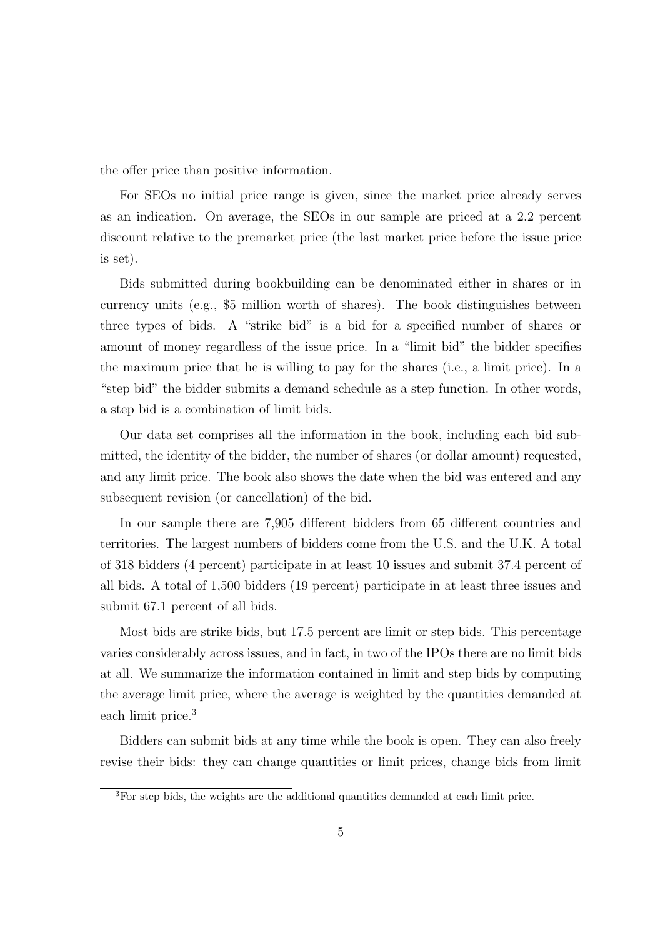the offer price than positive information.

For SEOs no initial price range is given, since the market price already serves as an indication. On average, the SEOs in our sample are priced at a 2.2 percent discount relative to the premarket price (the last market price before the issue price is set).

Bids submitted during bookbuilding can be denominated either in shares or in currency units (e.g., \$5 million worth of shares). The book distinguishes between three types of bids. A "strike bid" is a bid for a specified number of shares or amount of money regardless of the issue price. In a "limit bid" the bidder specifies the maximum price that he is willing to pay for the shares (i.e., a limit price). In a "step bid" the bidder submits a demand schedule as a step function. In other words, a step bid is a combination of limit bids.

Our data set comprises all the information in the book, including each bid submitted, the identity of the bidder, the number of shares (or dollar amount) requested, and any limit price. The book also shows the date when the bid was entered and any subsequent revision (or cancellation) of the bid.

In our sample there are 7,905 different bidders from 65 different countries and territories. The largest numbers of bidders come from the U.S. and the U.K. A total of 318 bidders (4 percent) participate in at least 10 issues and submit 37.4 percent of all bids. A total of 1,500 bidders (19 percent) participate in at least three issues and submit 67.1 percent of all bids.

Most bids are strike bids, but 17.5 percent are limit or step bids. This percentage varies considerably across issues, and in fact, in two of the IPOs there are no limit bids at all. We summarize the information contained in limit and step bids by computing the average limit price, where the average is weighted by the quantities demanded at each limit price.<sup>3</sup>

Bidders can submit bids at any time while the book is open. They can also freely revise their bids: they can change quantities or limit prices, change bids from limit

<sup>3</sup>For step bids, the weights are the additional quantities demanded at each limit price.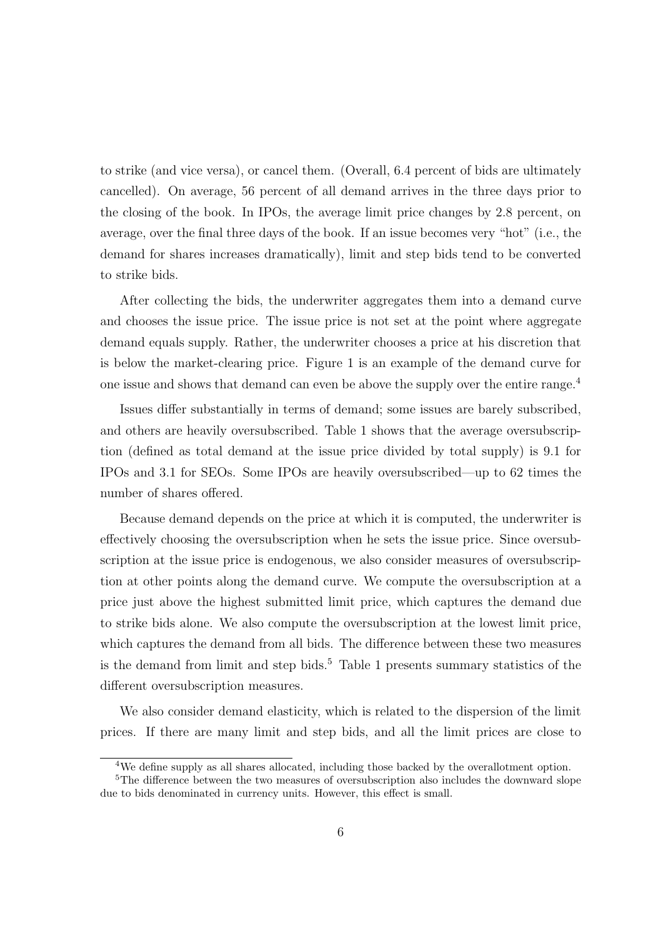to strike (and vice versa), or cancel them. (Overall, 6.4 percent of bids are ultimately cancelled). On average, 56 percent of all demand arrives in the three days prior to the closing of the book. In IPOs, the average limit price changes by 2.8 percent, on average, over the final three days of the book. If an issue becomes very "hot" (i.e., the demand for shares increases dramatically), limit and step bids tend to be converted to strike bids.

After collecting the bids, the underwriter aggregates them into a demand curve and chooses the issue price. The issue price is not set at the point where aggregate demand equals supply. Rather, the underwriter chooses a price at his discretion that is below the market-clearing price. Figure 1 is an example of the demand curve for one issue and shows that demand can even be above the supply over the entire range.<sup>4</sup>

Issues differ substantially in terms of demand; some issues are barely subscribed, and others are heavily oversubscribed. Table 1 shows that the average oversubscription (defined as total demand at the issue price divided by total supply) is 9.1 for IPOs and 3.1 for SEOs. Some IPOs are heavily oversubscribed—up to 62 times the number of shares offered.

Because demand depends on the price at which it is computed, the underwriter is effectively choosing the oversubscription when he sets the issue price. Since oversubscription at the issue price is endogenous, we also consider measures of oversubscription at other points along the demand curve. We compute the oversubscription at a price just above the highest submitted limit price, which captures the demand due to strike bids alone. We also compute the oversubscription at the lowest limit price, which captures the demand from all bids. The difference between these two measures is the demand from limit and step bids.<sup>5</sup> Table 1 presents summary statistics of the different oversubscription measures.

We also consider demand elasticity, which is related to the dispersion of the limit prices. If there are many limit and step bids, and all the limit prices are close to

<sup>4</sup>We define supply as all shares allocated, including those backed by the overallotment option.

<sup>&</sup>lt;sup>5</sup>The difference between the two measures of oversubscription also includes the downward slope due to bids denominated in currency units. However, this effect is small.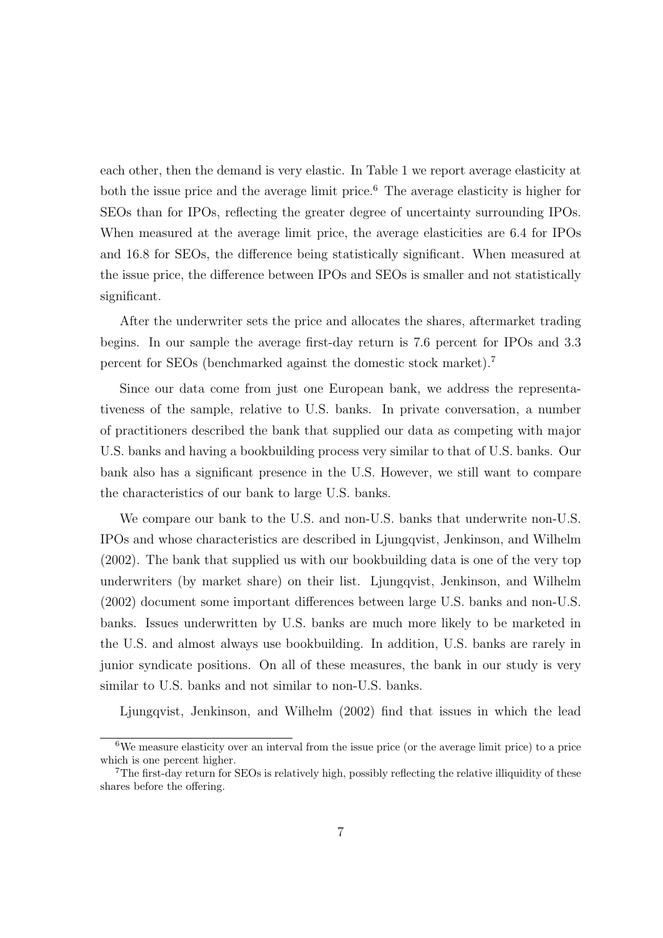each other, then the demand is very elastic. In Table 1 we report average elasticity at both the issue price and the average limit price.<sup>6</sup> The average elasticity is higher for SEOs than for IPOs, reflecting the greater degree of uncertainty surrounding IPOs. When measured at the average limit price, the average elasticities are 6.4 for IPOs and 16.8 for SEOs, the difference being statistically significant. When measured at the issue price, the difference between IPOs and SEOs is smaller and not statistically significant.

After the underwriter sets the price and allocates the shares, aftermarket trading begins. In our sample the average first-day return is 7.6 percent for IPOs and 3.3 percent for SEOs (benchmarked against the domestic stock market).<sup>7</sup>

Since our data come from just one European bank, we address the representativeness of the sample, relative to U.S. banks. In private conversation, a number of practitioners described the bank that supplied our data as competing with major U.S. banks and having a bookbuilding process very similar to that of U.S. banks. Our bank also has a significant presence in the U.S. However, we still want to compare the characteristics of our bank to large U.S. banks.

We compare our bank to the U.S. and non-U.S. banks that underwrite non-U.S. IPOs and whose characteristics are described in Ljungqvist, Jenkinson, and Wilhelm (2002). The bank that supplied us with our bookbuilding data is one of the very top underwriters (by market share) on their list. Ljungqvist, Jenkinson, and Wilhelm (2002) document some important differences between large U.S. banks and non-U.S. banks. Issues underwritten by U.S. banks are much more likely to be marketed in the U.S. and almost always use bookbuilding. In addition, U.S. banks are rarely in junior syndicate positions. On all of these measures, the bank in our study is very similar to U.S. banks and not similar to non-U.S. banks.

Ljungqvist, Jenkinson, and Wilhelm (2002) find that issues in which the lead

<sup>6</sup>We measure elasticity over an interval from the issue price (or the average limit price) to a price which is one percent higher.

<sup>7</sup>The first-day return for SEOs is relatively high, possibly reflecting the relative illiquidity of these shares before the offering.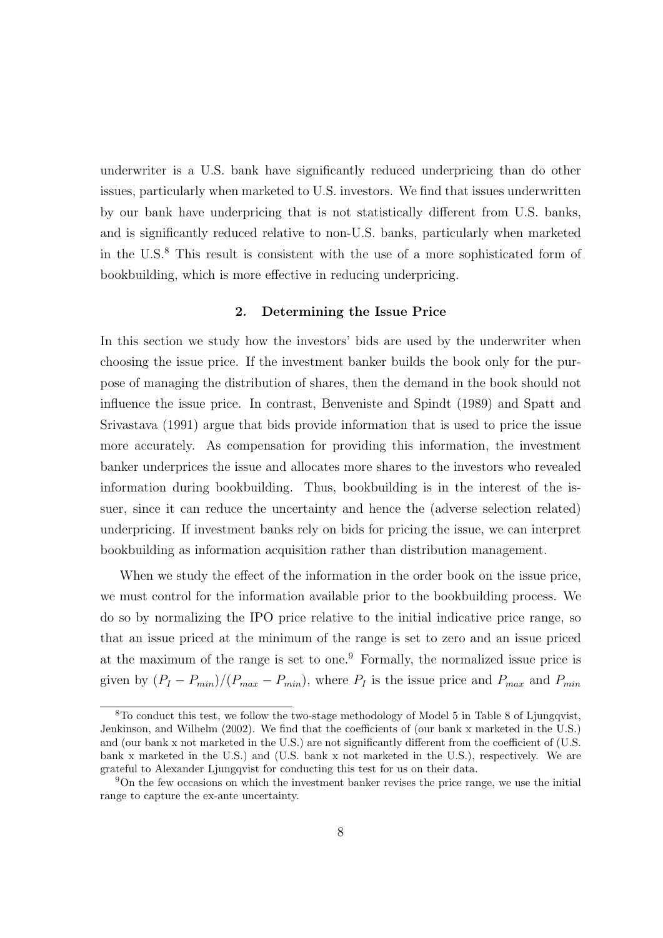underwriter is a U.S. bank have significantly reduced underpricing than do other issues, particularly when marketed to U.S. investors. We find that issues underwritten by our bank have underpricing that is not statistically different from U.S. banks, and is significantly reduced relative to non-U.S. banks, particularly when marketed in the U.S.<sup>8</sup> This result is consistent with the use of a more sophisticated form of bookbuilding, which is more effective in reducing underpricing.

## 2. Determining the Issue Price

In this section we study how the investors' bids are used by the underwriter when choosing the issue price. If the investment banker builds the book only for the purpose of managing the distribution of shares, then the demand in the book should not influence the issue price. In contrast, Benveniste and Spindt (1989) and Spatt and Srivastava (1991) argue that bids provide information that is used to price the issue more accurately. As compensation for providing this information, the investment banker underprices the issue and allocates more shares to the investors who revealed information during bookbuilding. Thus, bookbuilding is in the interest of the issuer, since it can reduce the uncertainty and hence the (adverse selection related) underpricing. If investment banks rely on bids for pricing the issue, we can interpret bookbuilding as information acquisition rather than distribution management.

When we study the effect of the information in the order book on the issue price, we must control for the information available prior to the bookbuilding process. We do so by normalizing the IPO price relative to the initial indicative price range, so that an issue priced at the minimum of the range is set to zero and an issue priced at the maximum of the range is set to one.<sup>9</sup> Formally, the normalized issue price is given by  $(P_I - P_{min})/(P_{max} - P_{min})$ , where  $P_I$  is the issue price and  $P_{max}$  and  $P_{min}$ 

 ${}^{8}$ To conduct this test, we follow the two-stage methodology of Model 5 in Table 8 of Ljungqvist, Jenkinson, and Wilhelm (2002). We find that the coefficients of (our bank x marketed in the U.S.) and (our bank x not marketed in the U.S.) are not significantly different from the coefficient of (U.S.) bank x marketed in the U.S.) and (U.S. bank x not marketed in the U.S.), respectively. We are grateful to Alexander Ljungqvist for conducting this test for us on their data.

<sup>9</sup>On the few occasions on which the investment banker revises the price range, we use the initial range to capture the ex-ante uncertainty.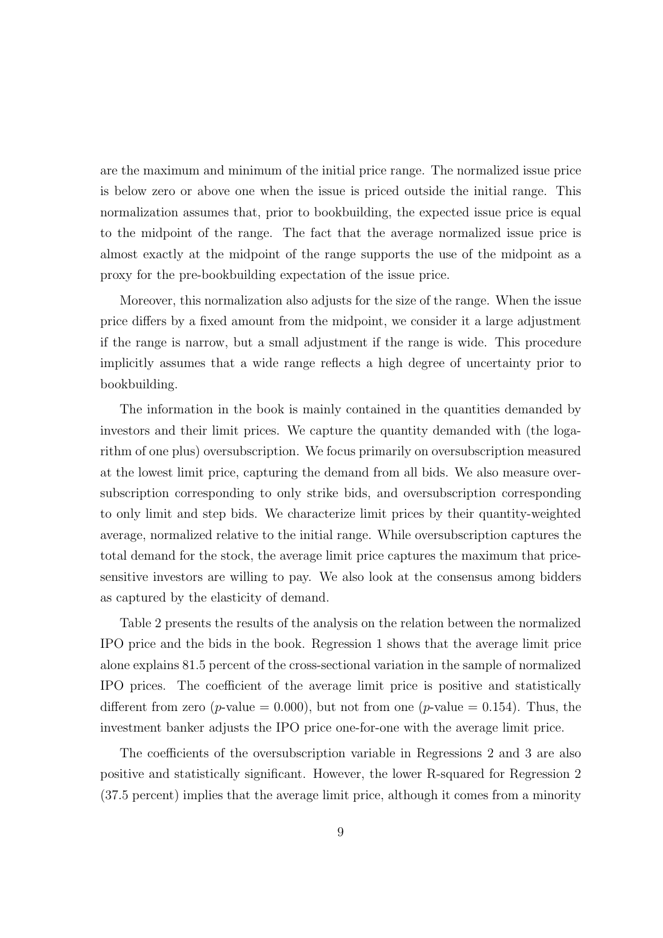are the maximum and minimum of the initial price range. The normalized issue price is below zero or above one when the issue is priced outside the initial range. This normalization assumes that, prior to bookbuilding, the expected issue price is equal to the midpoint of the range. The fact that the average normalized issue price is almost exactly at the midpoint of the range supports the use of the midpoint as a proxy for the pre-bookbuilding expectation of the issue price.

Moreover, this normalization also adjusts for the size of the range. When the issue price differs by a fixed amount from the midpoint, we consider it a large adjustment if the range is narrow, but a small adjustment if the range is wide. This procedure implicitly assumes that a wide range reflects a high degree of uncertainty prior to bookbuilding.

The information in the book is mainly contained in the quantities demanded by investors and their limit prices. We capture the quantity demanded with (the logarithm of one plus) oversubscription. We focus primarily on oversubscription measured at the lowest limit price, capturing the demand from all bids. We also measure oversubscription corresponding to only strike bids, and oversubscription corresponding to only limit and step bids. We characterize limit prices by their quantity-weighted average, normalized relative to the initial range. While oversubscription captures the total demand for the stock, the average limit price captures the maximum that pricesensitive investors are willing to pay. We also look at the consensus among bidders as captured by the elasticity of demand.

Table 2 presents the results of the analysis on the relation between the normalized IPO price and the bids in the book. Regression 1 shows that the average limit price alone explains 81.5 percent of the cross-sectional variation in the sample of normalized IPO prices. The coefficient of the average limit price is positive and statistically different from zero (*p*-value = 0.000), but not from one (*p*-value = 0.154). Thus, the investment banker adjusts the IPO price one-for-one with the average limit price.

The coefficients of the oversubscription variable in Regressions 2 and 3 are also positive and statistically significant. However, the lower R-squared for Regression 2 (37.5 percent) implies that the average limit price, although it comes from a minority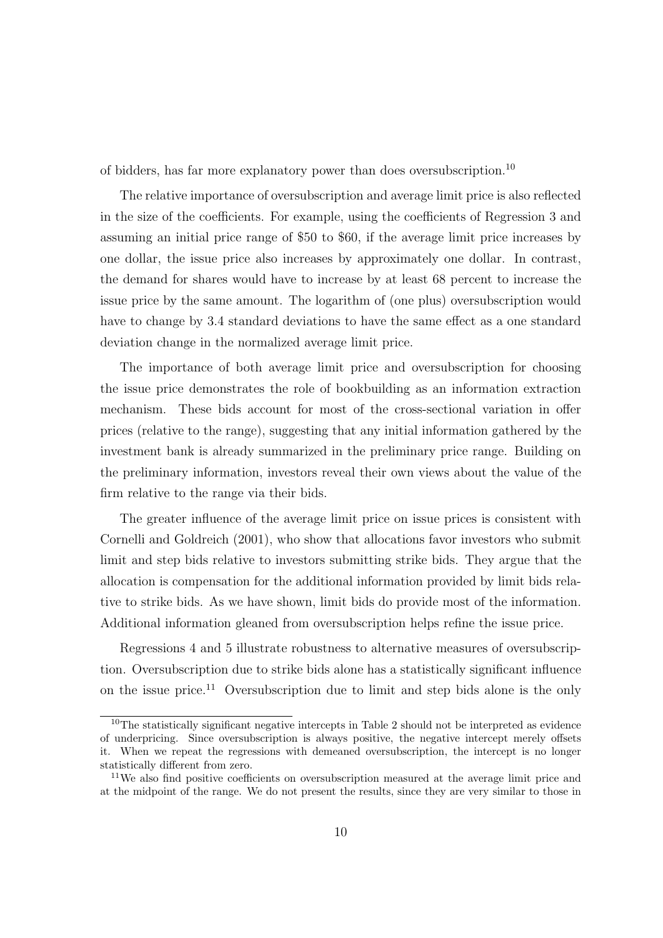of bidders, has far more explanatory power than does oversubscription.<sup>10</sup>

The relative importance of oversubscription and average limit price is also reflected in the size of the coefficients. For example, using the coefficients of Regression 3 and assuming an initial price range of \$50 to \$60, if the average limit price increases by one dollar, the issue price also increases by approximately one dollar. In contrast, the demand for shares would have to increase by at least 68 percent to increase the issue price by the same amount. The logarithm of (one plus) oversubscription would have to change by 3.4 standard deviations to have the same effect as a one standard deviation change in the normalized average limit price.

The importance of both average limit price and oversubscription for choosing the issue price demonstrates the role of bookbuilding as an information extraction mechanism. These bids account for most of the cross-sectional variation in offer prices (relative to the range), suggesting that any initial information gathered by the investment bank is already summarized in the preliminary price range. Building on the preliminary information, investors reveal their own views about the value of the firm relative to the range via their bids.

The greater influence of the average limit price on issue prices is consistent with Cornelli and Goldreich (2001), who show that allocations favor investors who submit limit and step bids relative to investors submitting strike bids. They argue that the allocation is compensation for the additional information provided by limit bids relative to strike bids. As we have shown, limit bids do provide most of the information. Additional information gleaned from oversubscription helps refine the issue price.

Regressions 4 and 5 illustrate robustness to alternative measures of oversubscription. Oversubscription due to strike bids alone has a statistically significant influence on the issue price.<sup>11</sup> Oversubscription due to limit and step bids alone is the only

 $10$ The statistically significant negative intercepts in Table 2 should not be interpreted as evidence of underpricing. Since oversubscription is always positive, the negative intercept merely offsets it. When we repeat the regressions with demeaned oversubscription, the intercept is no longer statistically different from zero.

<sup>&</sup>lt;sup>11</sup>We also find positive coefficients on oversubscription measured at the average limit price and at the midpoint of the range. We do not present the results, since they are very similar to those in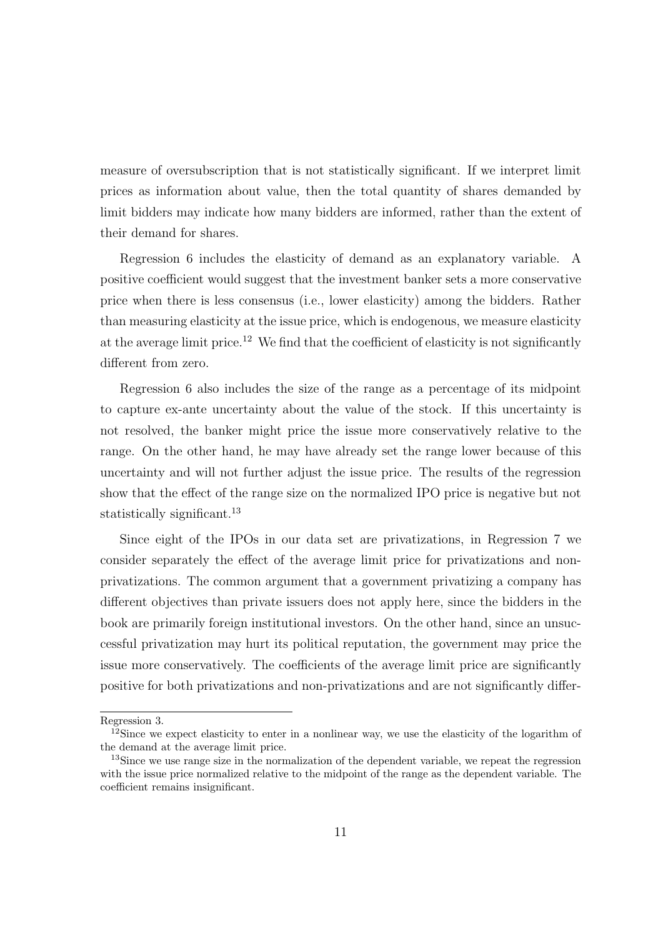measure of oversubscription that is not statistically significant. If we interpret limit prices as information about value, then the total quantity of shares demanded by limit bidders may indicate how many bidders are informed, rather than the extent of their demand for shares.

Regression 6 includes the elasticity of demand as an explanatory variable. A positive coefficient would suggest that the investment banker sets a more conservative price when there is less consensus (i.e., lower elasticity) among the bidders. Rather than measuring elasticity at the issue price, which is endogenous, we measure elasticity at the average limit price.<sup>12</sup> We find that the coefficient of elasticity is not significantly different from zero.

Regression 6 also includes the size of the range as a percentage of its midpoint to capture ex-ante uncertainty about the value of the stock. If this uncertainty is not resolved, the banker might price the issue more conservatively relative to the range. On the other hand, he may have already set the range lower because of this uncertainty and will not further adjust the issue price. The results of the regression show that the effect of the range size on the normalized IPO price is negative but not statistically significant.<sup>13</sup>

Since eight of the IPOs in our data set are privatizations, in Regression 7 we consider separately the effect of the average limit price for privatizations and nonprivatizations. The common argument that a government privatizing a company has different objectives than private issuers does not apply here, since the bidders in the book are primarily foreign institutional investors. On the other hand, since an unsuccessful privatization may hurt its political reputation, the government may price the issue more conservatively. The coefficients of the average limit price are significantly positive for both privatizations and non-privatizations and are not significantly differ-

Regression 3.

 $12$ Since we expect elasticity to enter in a nonlinear way, we use the elasticity of the logarithm of the demand at the average limit price.

<sup>&</sup>lt;sup>13</sup>Since we use range size in the normalization of the dependent variable, we repeat the regression with the issue price normalized relative to the midpoint of the range as the dependent variable. The coefficient remains insignificant.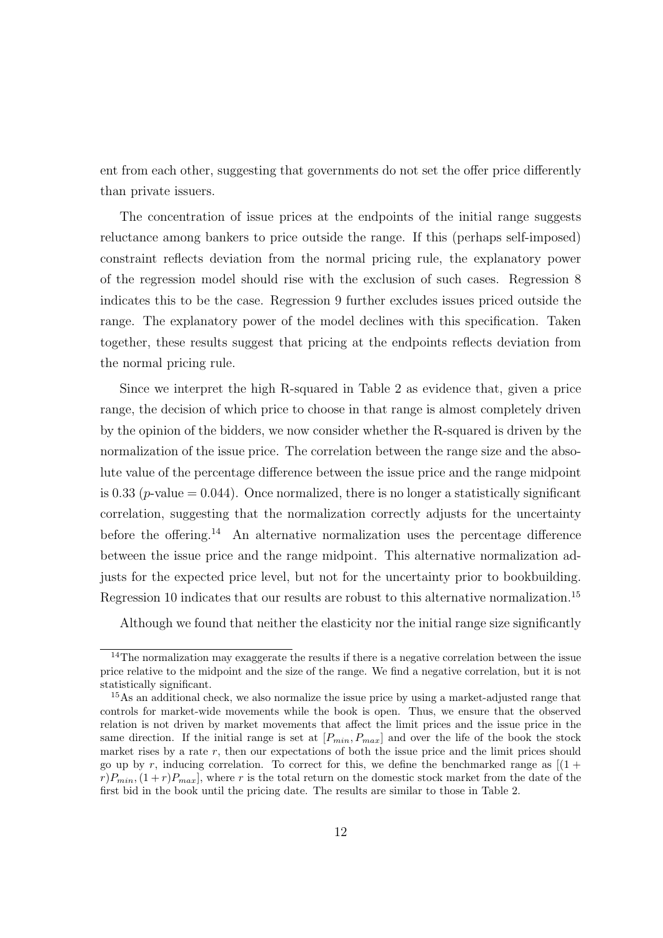ent from each other, suggesting that governments do not set the offer price differently than private issuers.

The concentration of issue prices at the endpoints of the initial range suggests reluctance among bankers to price outside the range. If this (perhaps self-imposed) constraint reflects deviation from the normal pricing rule, the explanatory power of the regression model should rise with the exclusion of such cases. Regression 8 indicates this to be the case. Regression 9 further excludes issues priced outside the range. The explanatory power of the model declines with this specification. Taken together, these results suggest that pricing at the endpoints reflects deviation from the normal pricing rule.

Since we interpret the high R-squared in Table 2 as evidence that, given a price range, the decision of which price to choose in that range is almost completely driven by the opinion of the bidders, we now consider whether the R-squared is driven by the normalization of the issue price. The correlation between the range size and the absolute value of the percentage difference between the issue price and the range midpoint is 0.33 ( $p$ -value = 0.044). Once normalized, there is no longer a statistically significant correlation, suggesting that the normalization correctly adjusts for the uncertainty before the offering.<sup>14</sup> An alternative normalization uses the percentage difference between the issue price and the range midpoint. This alternative normalization adjusts for the expected price level, but not for the uncertainty prior to bookbuilding. Regression 10 indicates that our results are robust to this alternative normalization.<sup>15</sup>

Although we found that neither the elasticity nor the initial range size significantly

 $14$ The normalization may exaggerate the results if there is a negative correlation between the issue price relative to the midpoint and the size of the range. We find a negative correlation, but it is not statistically significant.

<sup>&</sup>lt;sup>15</sup>As an additional check, we also normalize the issue price by using a market-adjusted range that controls for market-wide movements while the book is open. Thus, we ensure that the observed relation is not driven by market movements that affect the limit prices and the issue price in the same direction. If the initial range is set at  $[P_{min}, P_{max}]$  and over the life of the book the stock market rises by a rate r, then our expectations of both the issue price and the limit prices should go up by r, inducing correlation. To correct for this, we define the benchmarked range as  $(1 +$  $r[P_{min},(1+r)P_{max}]$ , where r is the total return on the domestic stock market from the date of the first bid in the book until the pricing date. The results are similar to those in Table 2.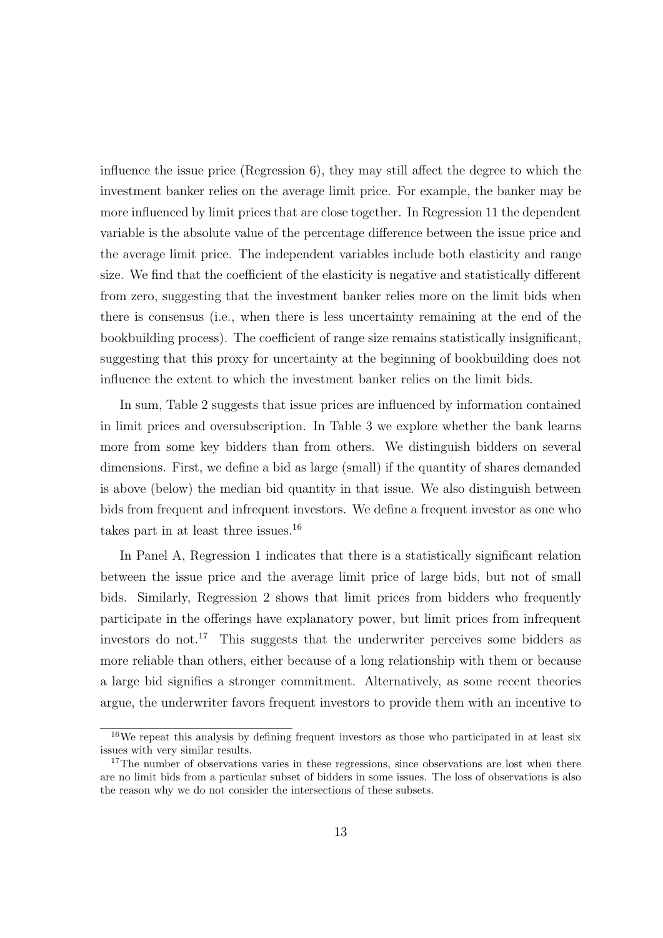influence the issue price (Regression 6), they may still affect the degree to which the investment banker relies on the average limit price. For example, the banker may be more influenced by limit prices that are close together. In Regression 11 the dependent variable is the absolute value of the percentage difference between the issue price and the average limit price. The independent variables include both elasticity and range size. We find that the coefficient of the elasticity is negative and statistically different from zero, suggesting that the investment banker relies more on the limit bids when there is consensus (i.e., when there is less uncertainty remaining at the end of the bookbuilding process). The coefficient of range size remains statistically insignificant, suggesting that this proxy for uncertainty at the beginning of bookbuilding does not influence the extent to which the investment banker relies on the limit bids.

In sum, Table 2 suggests that issue prices are influenced by information contained in limit prices and oversubscription. In Table 3 we explore whether the bank learns more from some key bidders than from others. We distinguish bidders on several dimensions. First, we define a bid as large (small) if the quantity of shares demanded is above (below) the median bid quantity in that issue. We also distinguish between bids from frequent and infrequent investors. We define a frequent investor as one who takes part in at least three issues.<sup>16</sup>

In Panel A, Regression 1 indicates that there is a statistically significant relation between the issue price and the average limit price of large bids, but not of small bids. Similarly, Regression 2 shows that limit prices from bidders who frequently participate in the offerings have explanatory power, but limit prices from infrequent investors do not.<sup>17</sup> This suggests that the underwriter perceives some bidders as more reliable than others, either because of a long relationship with them or because a large bid signifies a stronger commitment. Alternatively, as some recent theories argue, the underwriter favors frequent investors to provide them with an incentive to

 $16$ We repeat this analysis by defining frequent investors as those who participated in at least six issues with very similar results.

 $17$ The number of observations varies in these regressions, since observations are lost when there are no limit bids from a particular subset of bidders in some issues. The loss of observations is also the reason why we do not consider the intersections of these subsets.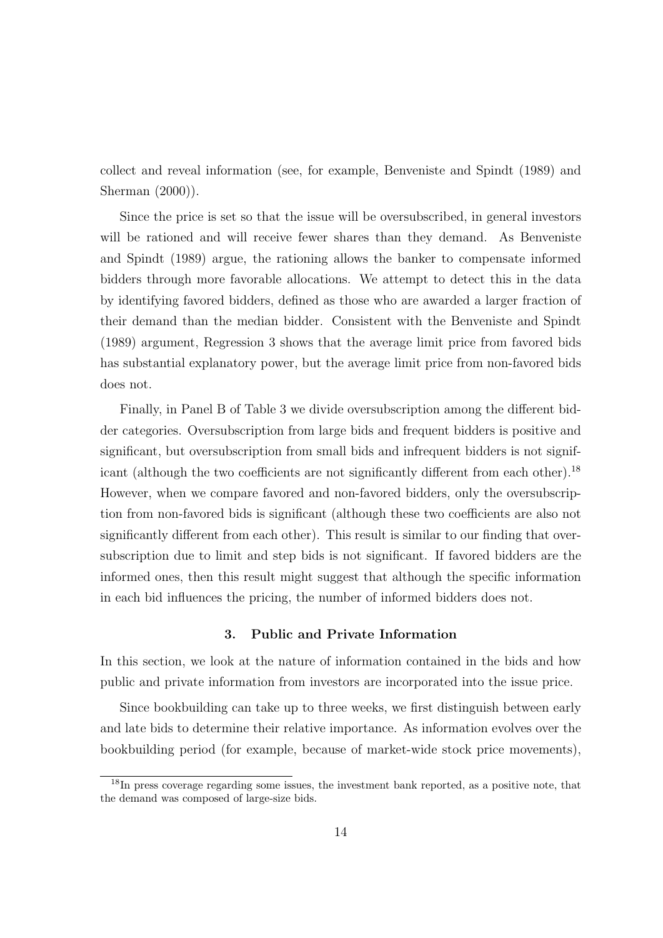collect and reveal information (see, for example, Benveniste and Spindt (1989) and Sherman (2000)).

Since the price is set so that the issue will be oversubscribed, in general investors will be rationed and will receive fewer shares than they demand. As Benveniste and Spindt (1989) argue, the rationing allows the banker to compensate informed bidders through more favorable allocations. We attempt to detect this in the data by identifying favored bidders, defined as those who are awarded a larger fraction of their demand than the median bidder. Consistent with the Benveniste and Spindt (1989) argument, Regression 3 shows that the average limit price from favored bids has substantial explanatory power, but the average limit price from non-favored bids does not.

Finally, in Panel B of Table 3 we divide oversubscription among the different bidder categories. Oversubscription from large bids and frequent bidders is positive and significant, but oversubscription from small bids and infrequent bidders is not significant (although the two coefficients are not significantly different from each other).<sup>18</sup> However, when we compare favored and non-favored bidders, only the oversubscription from non-favored bids is significant (although these two coefficients are also not significantly different from each other). This result is similar to our finding that oversubscription due to limit and step bids is not significant. If favored bidders are the informed ones, then this result might suggest that although the specific information in each bid influences the pricing, the number of informed bidders does not.

# 3. Public and Private Information

In this section, we look at the nature of information contained in the bids and how public and private information from investors are incorporated into the issue price.

Since bookbuilding can take up to three weeks, we first distinguish between early and late bids to determine their relative importance. As information evolves over the bookbuilding period (for example, because of market-wide stock price movements),

<sup>18</sup>In press coverage regarding some issues, the investment bank reported, as a positive note, that the demand was composed of large-size bids.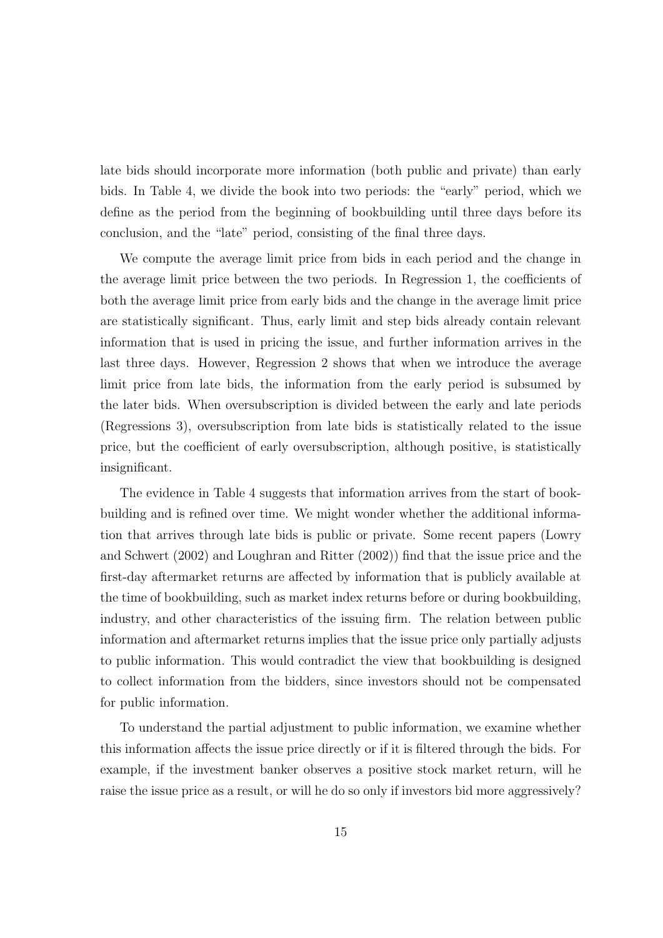late bids should incorporate more information (both public and private) than early bids. In Table 4, we divide the book into two periods: the "early" period, which we define as the period from the beginning of bookbuilding until three days before its conclusion, and the "late" period, consisting of the final three days.

We compute the average limit price from bids in each period and the change in the average limit price between the two periods. In Regression 1, the coefficients of both the average limit price from early bids and the change in the average limit price are statistically significant. Thus, early limit and step bids already contain relevant information that is used in pricing the issue, and further information arrives in the last three days. However, Regression 2 shows that when we introduce the average limit price from late bids, the information from the early period is subsumed by the later bids. When oversubscription is divided between the early and late periods (Regressions 3), oversubscription from late bids is statistically related to the issue price, but the coefficient of early oversubscription, although positive, is statistically insignificant.

The evidence in Table 4 suggests that information arrives from the start of bookbuilding and is refined over time. We might wonder whether the additional information that arrives through late bids is public or private. Some recent papers (Lowry and Schwert (2002) and Loughran and Ritter (2002)) find that the issue price and the first-day aftermarket returns are affected by information that is publicly available at the time of bookbuilding, such as market index returns before or during bookbuilding, industry, and other characteristics of the issuing firm. The relation between public information and aftermarket returns implies that the issue price only partially adjusts to public information. This would contradict the view that bookbuilding is designed to collect information from the bidders, since investors should not be compensated for public information.

To understand the partial adjustment to public information, we examine whether this information affects the issue price directly or if it is filtered through the bids. For example, if the investment banker observes a positive stock market return, will he raise the issue price as a result, or will he do so only if investors bid more aggressively?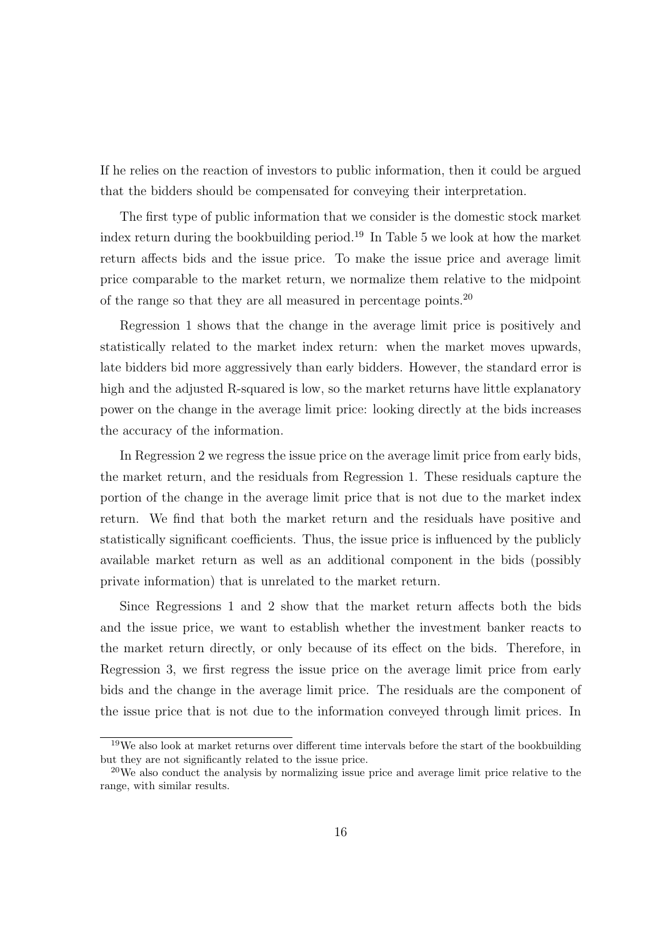If he relies on the reaction of investors to public information, then it could be argued that the bidders should be compensated for conveying their interpretation.

The first type of public information that we consider is the domestic stock market index return during the bookbuilding period.<sup>19</sup> In Table 5 we look at how the market return affects bids and the issue price. To make the issue price and average limit price comparable to the market return, we normalize them relative to the midpoint of the range so that they are all measured in percentage points.<sup>20</sup>

Regression 1 shows that the change in the average limit price is positively and statistically related to the market index return: when the market moves upwards, late bidders bid more aggressively than early bidders. However, the standard error is high and the adjusted R-squared is low, so the market returns have little explanatory power on the change in the average limit price: looking directly at the bids increases the accuracy of the information.

In Regression 2 we regress the issue price on the average limit price from early bids, the market return, and the residuals from Regression 1. These residuals capture the portion of the change in the average limit price that is not due to the market index return. We find that both the market return and the residuals have positive and statistically significant coefficients. Thus, the issue price is influenced by the publicly available market return as well as an additional component in the bids (possibly private information) that is unrelated to the market return.

Since Regressions 1 and 2 show that the market return affects both the bids and the issue price, we want to establish whether the investment banker reacts to the market return directly, or only because of its effect on the bids. Therefore, in Regression 3, we first regress the issue price on the average limit price from early bids and the change in the average limit price. The residuals are the component of the issue price that is not due to the information conveyed through limit prices. In

<sup>19</sup>We also look at market returns over different time intervals before the start of the bookbuilding but they are not significantly related to the issue price.

<sup>&</sup>lt;sup>20</sup>We also conduct the analysis by normalizing issue price and average limit price relative to the range, with similar results.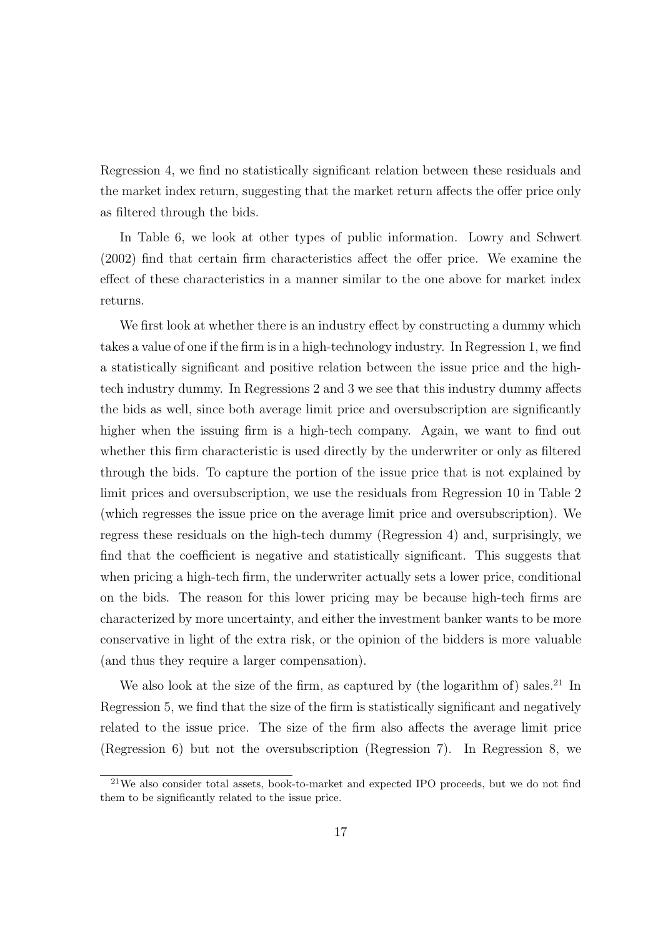Regression 4, we find no statistically significant relation between these residuals and the market index return, suggesting that the market return affects the offer price only as filtered through the bids.

In Table 6, we look at other types of public information. Lowry and Schwert (2002) find that certain firm characteristics affect the offer price. We examine the effect of these characteristics in a manner similar to the one above for market index returns.

We first look at whether there is an industry effect by constructing a dummy which takes a value of one if the firm is in a high-technology industry. In Regression 1, we find a statistically significant and positive relation between the issue price and the hightech industry dummy. In Regressions 2 and 3 we see that this industry dummy affects the bids as well, since both average limit price and oversubscription are significantly higher when the issuing firm is a high-tech company. Again, we want to find out whether this firm characteristic is used directly by the underwriter or only as filtered through the bids. To capture the portion of the issue price that is not explained by limit prices and oversubscription, we use the residuals from Regression 10 in Table 2 (which regresses the issue price on the average limit price and oversubscription). We regress these residuals on the high-tech dummy (Regression 4) and, surprisingly, we find that the coefficient is negative and statistically significant. This suggests that when pricing a high-tech firm, the underwriter actually sets a lower price, conditional on the bids. The reason for this lower pricing may be because high-tech firms are characterized by more uncertainty, and either the investment banker wants to be more conservative in light of the extra risk, or the opinion of the bidders is more valuable (and thus they require a larger compensation).

We also look at the size of the firm, as captured by (the logarithm of) sales.<sup>21</sup> In Regression 5, we find that the size of the firm is statistically significant and negatively related to the issue price. The size of the firm also affects the average limit price (Regression 6) but not the oversubscription (Regression 7). In Regression 8, we

<sup>&</sup>lt;sup>21</sup>We also consider total assets, book-to-market and expected IPO proceeds, but we do not find them to be significantly related to the issue price.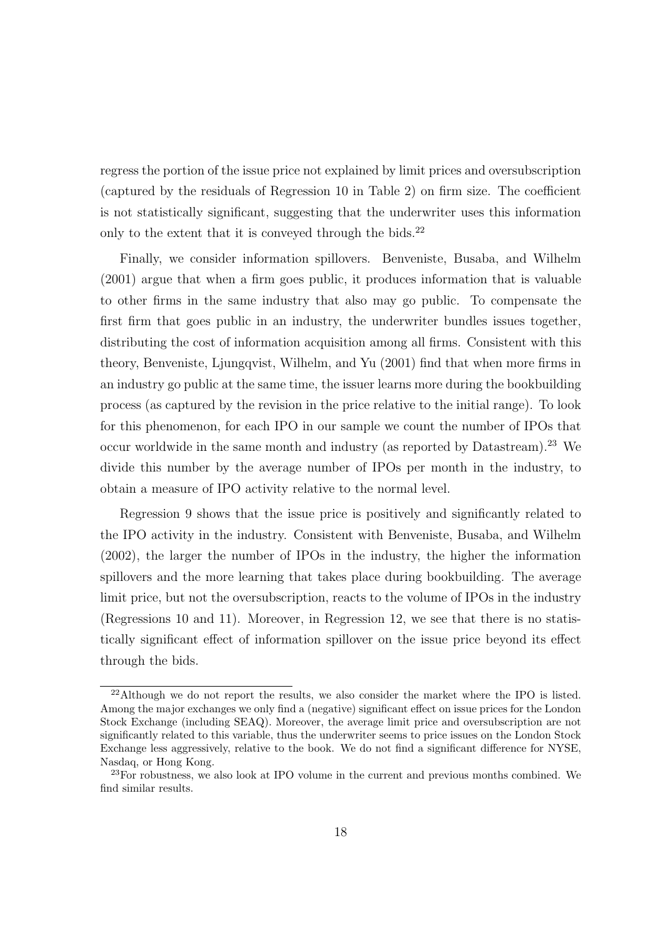regress the portion of the issue price not explained by limit prices and oversubscription (captured by the residuals of Regression 10 in Table 2) on firm size. The coefficient is not statistically significant, suggesting that the underwriter uses this information only to the extent that it is conveyed through the bids. $^{22}$ 

Finally, we consider information spillovers. Benveniste, Busaba, and Wilhelm (2001) argue that when a firm goes public, it produces information that is valuable to other firms in the same industry that also may go public. To compensate the first firm that goes public in an industry, the underwriter bundles issues together, distributing the cost of information acquisition among all firms. Consistent with this theory, Benveniste, Ljungqvist, Wilhelm, and Yu (2001) find that when more firms in an industry go public at the same time, the issuer learns more during the bookbuilding process (as captured by the revision in the price relative to the initial range). To look for this phenomenon, for each IPO in our sample we count the number of IPOs that occur worldwide in the same month and industry (as reported by Datastream).<sup>23</sup> We divide this number by the average number of IPOs per month in the industry, to obtain a measure of IPO activity relative to the normal level.

Regression 9 shows that the issue price is positively and significantly related to the IPO activity in the industry. Consistent with Benveniste, Busaba, and Wilhelm (2002), the larger the number of IPOs in the industry, the higher the information spillovers and the more learning that takes place during bookbuilding. The average limit price, but not the oversubscription, reacts to the volume of IPOs in the industry (Regressions 10 and 11). Moreover, in Regression 12, we see that there is no statistically significant effect of information spillover on the issue price beyond its effect through the bids.

<sup>&</sup>lt;sup>22</sup>Although we do not report the results, we also consider the market where the IPO is listed. Among the major exchanges we only find a (negative) significant effect on issue prices for the London Stock Exchange (including SEAQ). Moreover, the average limit price and oversubscription are not significantly related to this variable, thus the underwriter seems to price issues on the London Stock Exchange less aggressively, relative to the book. We do not find a significant difference for NYSE, Nasdaq, or Hong Kong.

 $^{23}$ For robustness, we also look at IPO volume in the current and previous months combined. We find similar results.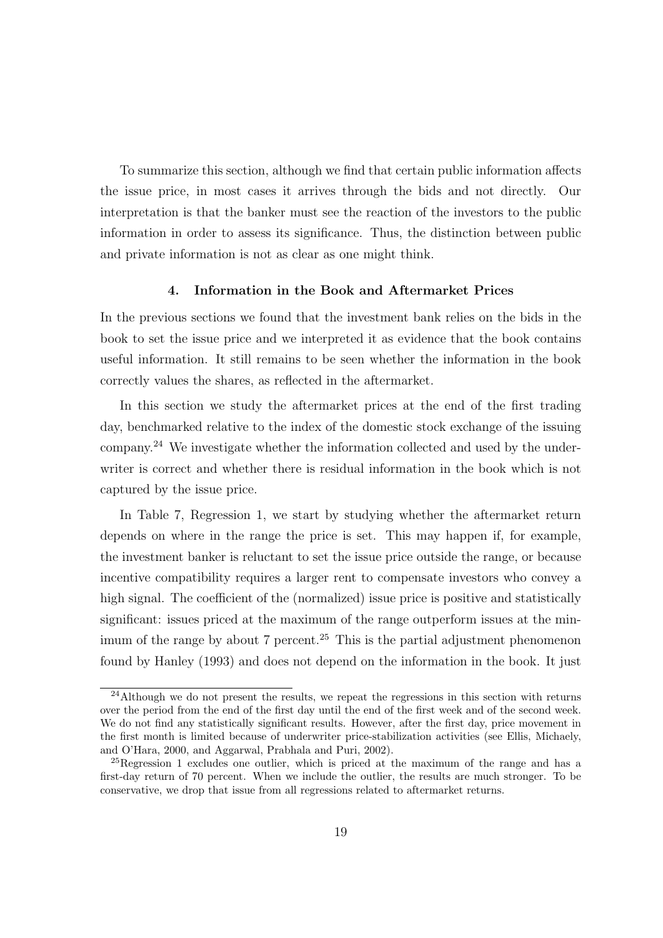To summarize this section, although we find that certain public information affects the issue price, in most cases it arrives through the bids and not directly. Our interpretation is that the banker must see the reaction of the investors to the public information in order to assess its significance. Thus, the distinction between public and private information is not as clear as one might think.

## 4. Information in the Book and Aftermarket Prices

In the previous sections we found that the investment bank relies on the bids in the book to set the issue price and we interpreted it as evidence that the book contains useful information. It still remains to be seen whether the information in the book correctly values the shares, as reflected in the aftermarket.

In this section we study the aftermarket prices at the end of the first trading day, benchmarked relative to the index of the domestic stock exchange of the issuing company.<sup>24</sup> We investigate whether the information collected and used by the underwriter is correct and whether there is residual information in the book which is not captured by the issue price.

In Table 7, Regression 1, we start by studying whether the aftermarket return depends on where in the range the price is set. This may happen if, for example, the investment banker is reluctant to set the issue price outside the range, or because incentive compatibility requires a larger rent to compensate investors who convey a high signal. The coefficient of the (normalized) issue price is positive and statistically significant: issues priced at the maximum of the range outperform issues at the minimum of the range by about 7 percent.<sup>25</sup> This is the partial adjustment phenomenon found by Hanley (1993) and does not depend on the information in the book. It just

 $^{24}$ Although we do not present the results, we repeat the regressions in this section with returns over the period from the end of the first day until the end of the first week and of the second week. We do not find any statistically significant results. However, after the first day, price movement in the first month is limited because of underwriter price-stabilization activities (see Ellis, Michaely, and O'Hara, 2000, and Aggarwal, Prabhala and Puri, 2002).

 $^{25}$ Regression 1 excludes one outlier, which is priced at the maximum of the range and has a first-day return of 70 percent. When we include the outlier, the results are much stronger. To be conservative, we drop that issue from all regressions related to aftermarket returns.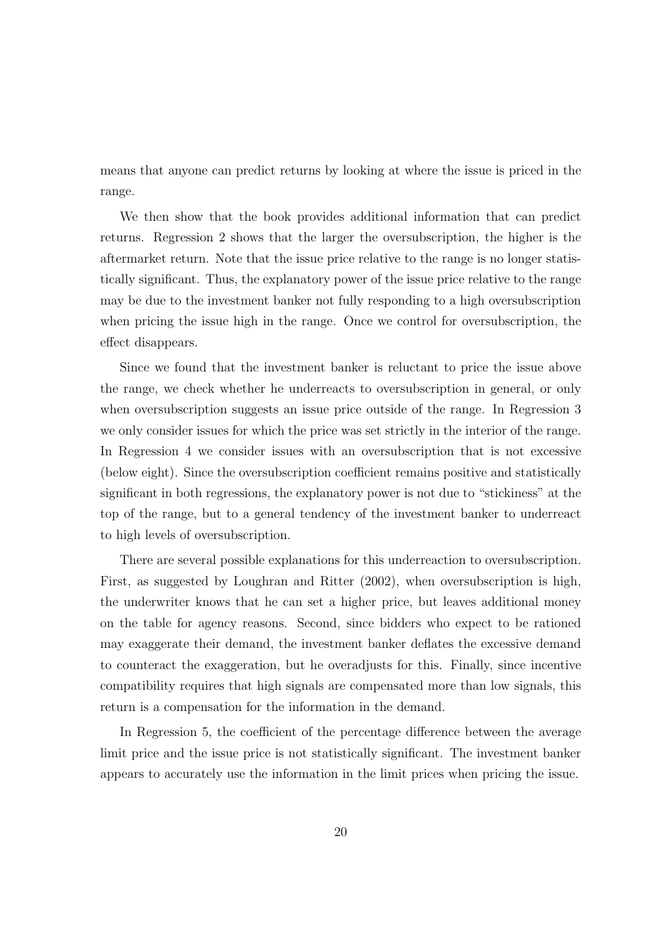means that anyone can predict returns by looking at where the issue is priced in the range.

We then show that the book provides additional information that can predict returns. Regression 2 shows that the larger the oversubscription, the higher is the aftermarket return. Note that the issue price relative to the range is no longer statistically significant. Thus, the explanatory power of the issue price relative to the range may be due to the investment banker not fully responding to a high oversubscription when pricing the issue high in the range. Once we control for oversubscription, the effect disappears.

Since we found that the investment banker is reluctant to price the issue above the range, we check whether he underreacts to oversubscription in general, or only when oversubscription suggests an issue price outside of the range. In Regression 3 we only consider issues for which the price was set strictly in the interior of the range. In Regression 4 we consider issues with an oversubscription that is not excessive (below eight). Since the oversubscription coefficient remains positive and statistically significant in both regressions, the explanatory power is not due to "stickiness" at the top of the range, but to a general tendency of the investment banker to underreact to high levels of oversubscription.

There are several possible explanations for this underreaction to oversubscription. First, as suggested by Loughran and Ritter (2002), when oversubscription is high, the underwriter knows that he can set a higher price, but leaves additional money on the table for agency reasons. Second, since bidders who expect to be rationed may exaggerate their demand, the investment banker deflates the excessive demand to counteract the exaggeration, but he overadjusts for this. Finally, since incentive compatibility requires that high signals are compensated more than low signals, this return is a compensation for the information in the demand.

In Regression 5, the coefficient of the percentage difference between the average limit price and the issue price is not statistically significant. The investment banker appears to accurately use the information in the limit prices when pricing the issue.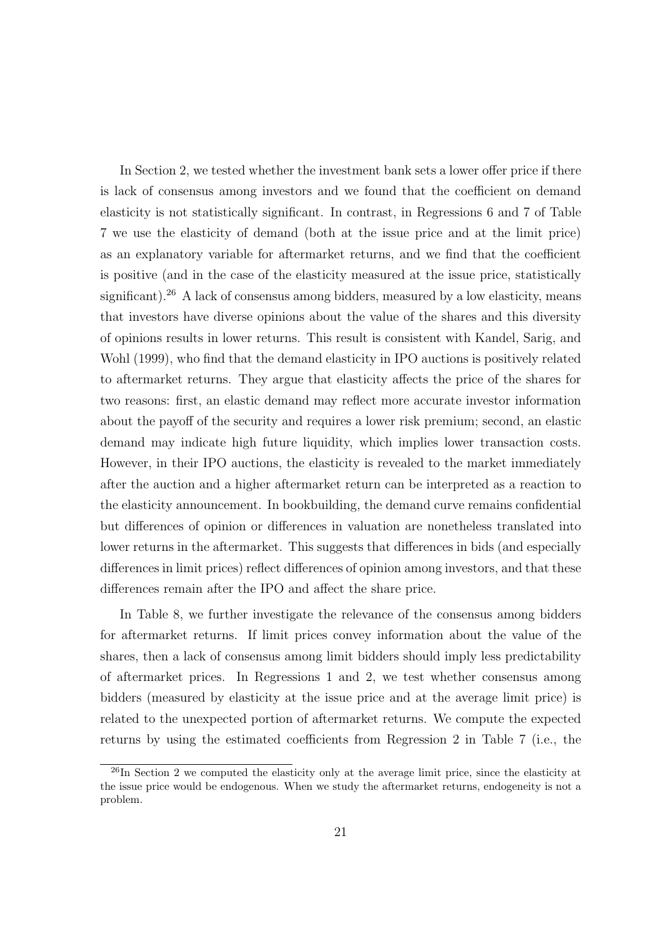In Section 2, we tested whether the investment bank sets a lower offer price if there is lack of consensus among investors and we found that the coefficient on demand elasticity is not statistically significant. In contrast, in Regressions 6 and 7 of Table 7 we use the elasticity of demand (both at the issue price and at the limit price) as an explanatory variable for aftermarket returns, and we find that the coefficient is positive (and in the case of the elasticity measured at the issue price, statistically significant).<sup>26</sup> A lack of consensus among bidders, measured by a low elasticity, means that investors have diverse opinions about the value of the shares and this diversity of opinions results in lower returns. This result is consistent with Kandel, Sarig, and Wohl (1999), who find that the demand elasticity in IPO auctions is positively related to aftermarket returns. They argue that elasticity affects the price of the shares for two reasons: first, an elastic demand may reflect more accurate investor information about the payoff of the security and requires a lower risk premium; second, an elastic demand may indicate high future liquidity, which implies lower transaction costs. However, in their IPO auctions, the elasticity is revealed to the market immediately after the auction and a higher aftermarket return can be interpreted as a reaction to the elasticity announcement. In bookbuilding, the demand curve remains confidential but differences of opinion or differences in valuation are nonetheless translated into lower returns in the aftermarket. This suggests that differences in bids (and especially differences in limit prices) reflect differences of opinion among investors, and that these differences remain after the IPO and affect the share price.

In Table 8, we further investigate the relevance of the consensus among bidders for aftermarket returns. If limit prices convey information about the value of the shares, then a lack of consensus among limit bidders should imply less predictability of aftermarket prices. In Regressions 1 and 2, we test whether consensus among bidders (measured by elasticity at the issue price and at the average limit price) is related to the unexpected portion of aftermarket returns. We compute the expected returns by using the estimated coefficients from Regression 2 in Table 7 (i.e., the

 $^{26}$ In Section 2 we computed the elasticity only at the average limit price, since the elasticity at the issue price would be endogenous. When we study the aftermarket returns, endogeneity is not a problem.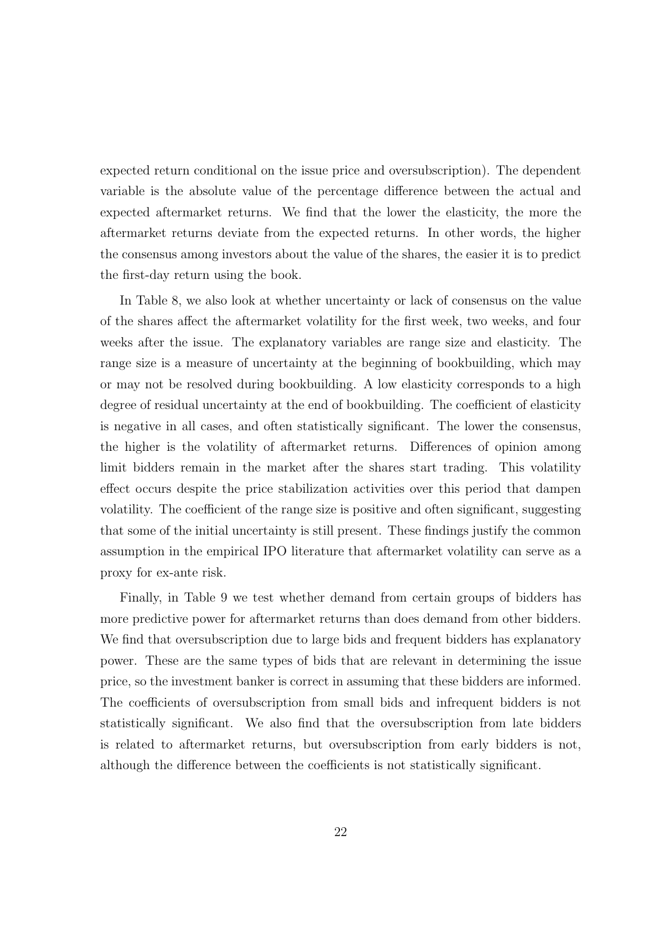expected return conditional on the issue price and oversubscription). The dependent variable is the absolute value of the percentage difference between the actual and expected aftermarket returns. We find that the lower the elasticity, the more the aftermarket returns deviate from the expected returns. In other words, the higher the consensus among investors about the value of the shares, the easier it is to predict the first-day return using the book.

In Table 8, we also look at whether uncertainty or lack of consensus on the value of the shares affect the aftermarket volatility for the first week, two weeks, and four weeks after the issue. The explanatory variables are range size and elasticity. The range size is a measure of uncertainty at the beginning of bookbuilding, which may or may not be resolved during bookbuilding. A low elasticity corresponds to a high degree of residual uncertainty at the end of bookbuilding. The coefficient of elasticity is negative in all cases, and often statistically significant. The lower the consensus, the higher is the volatility of aftermarket returns. Differences of opinion among limit bidders remain in the market after the shares start trading. This volatility effect occurs despite the price stabilization activities over this period that dampen volatility. The coefficient of the range size is positive and often significant, suggesting that some of the initial uncertainty is still present. These findings justify the common assumption in the empirical IPO literature that aftermarket volatility can serve as a proxy for ex-ante risk.

Finally, in Table 9 we test whether demand from certain groups of bidders has more predictive power for aftermarket returns than does demand from other bidders. We find that oversubscription due to large bids and frequent bidders has explanatory power. These are the same types of bids that are relevant in determining the issue price, so the investment banker is correct in assuming that these bidders are informed. The coefficients of oversubscription from small bids and infrequent bidders is not statistically significant. We also find that the oversubscription from late bidders is related to aftermarket returns, but oversubscription from early bidders is not, although the difference between the coefficients is not statistically significant.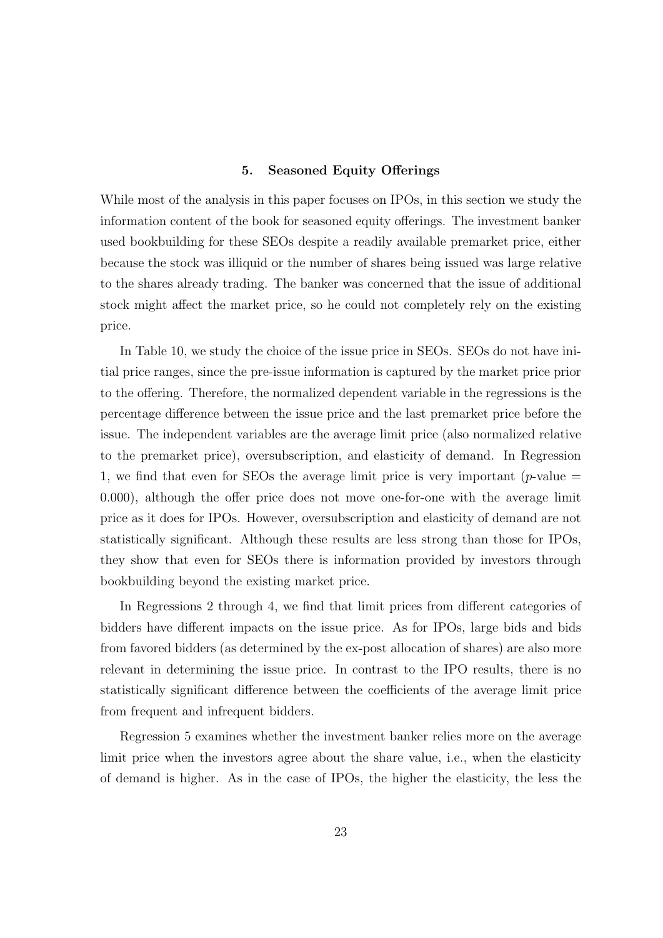### 5. Seasoned Equity Offerings

While most of the analysis in this paper focuses on IPOs, in this section we study the information content of the book for seasoned equity offerings. The investment banker used bookbuilding for these SEOs despite a readily available premarket price, either because the stock was illiquid or the number of shares being issued was large relative to the shares already trading. The banker was concerned that the issue of additional stock might affect the market price, so he could not completely rely on the existing price.

In Table 10, we study the choice of the issue price in SEOs. SEOs do not have initial price ranges, since the pre-issue information is captured by the market price prior to the offering. Therefore, the normalized dependent variable in the regressions is the percentage difference between the issue price and the last premarket price before the issue. The independent variables are the average limit price (also normalized relative to the premarket price), oversubscription, and elasticity of demand. In Regression 1, we find that even for SEOs the average limit price is very important ( $p$ -value  $=$ 0.000), although the offer price does not move one-for-one with the average limit price as it does for IPOs. However, oversubscription and elasticity of demand are not statistically significant. Although these results are less strong than those for IPOs, they show that even for SEOs there is information provided by investors through bookbuilding beyond the existing market price.

In Regressions 2 through 4, we find that limit prices from different categories of bidders have different impacts on the issue price. As for IPOs, large bids and bids from favored bidders (as determined by the ex-post allocation of shares) are also more relevant in determining the issue price. In contrast to the IPO results, there is no statistically significant difference between the coefficients of the average limit price from frequent and infrequent bidders.

Regression 5 examines whether the investment banker relies more on the average limit price when the investors agree about the share value, i.e., when the elasticity of demand is higher. As in the case of IPOs, the higher the elasticity, the less the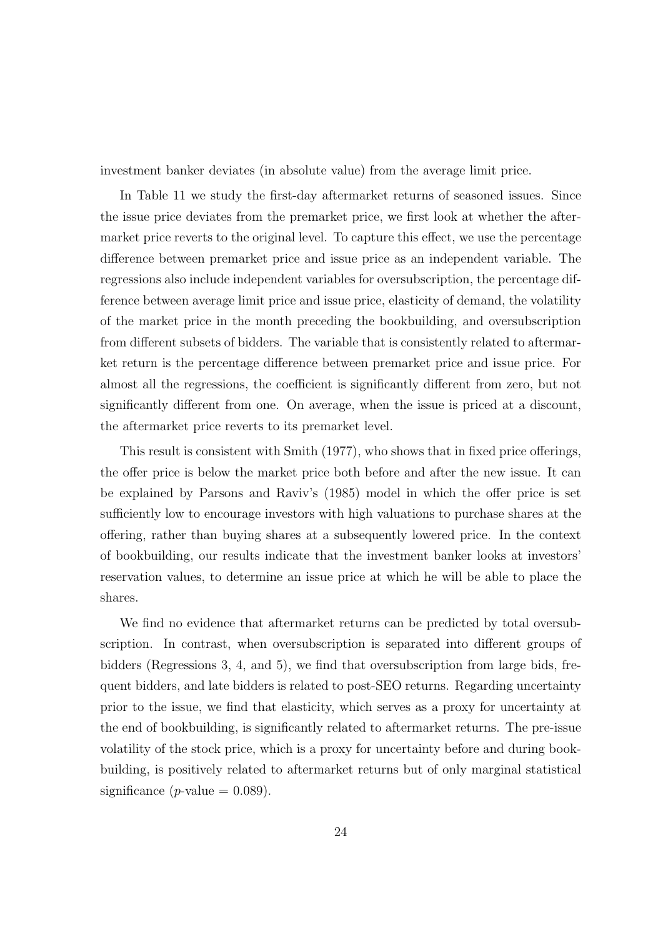investment banker deviates (in absolute value) from the average limit price.

In Table 11 we study the first-day aftermarket returns of seasoned issues. Since the issue price deviates from the premarket price, we first look at whether the aftermarket price reverts to the original level. To capture this effect, we use the percentage difference between premarket price and issue price as an independent variable. The regressions also include independent variables for oversubscription, the percentage difference between average limit price and issue price, elasticity of demand, the volatility of the market price in the month preceding the bookbuilding, and oversubscription from different subsets of bidders. The variable that is consistently related to aftermarket return is the percentage difference between premarket price and issue price. For almost all the regressions, the coefficient is significantly different from zero, but not significantly different from one. On average, when the issue is priced at a discount, the aftermarket price reverts to its premarket level.

This result is consistent with Smith (1977), who shows that in fixed price offerings, the offer price is below the market price both before and after the new issue. It can be explained by Parsons and Raviv's (1985) model in which the offer price is set sufficiently low to encourage investors with high valuations to purchase shares at the offering, rather than buying shares at a subsequently lowered price. In the context of bookbuilding, our results indicate that the investment banker looks at investors' reservation values, to determine an issue price at which he will be able to place the shares.

We find no evidence that aftermarket returns can be predicted by total oversubscription. In contrast, when oversubscription is separated into different groups of bidders (Regressions 3, 4, and 5), we find that oversubscription from large bids, frequent bidders, and late bidders is related to post-SEO returns. Regarding uncertainty prior to the issue, we find that elasticity, which serves as a proxy for uncertainty at the end of bookbuilding, is significantly related to aftermarket returns. The pre-issue volatility of the stock price, which is a proxy for uncertainty before and during bookbuilding, is positively related to aftermarket returns but of only marginal statistical significance (*p*-value  $= 0.089$ ).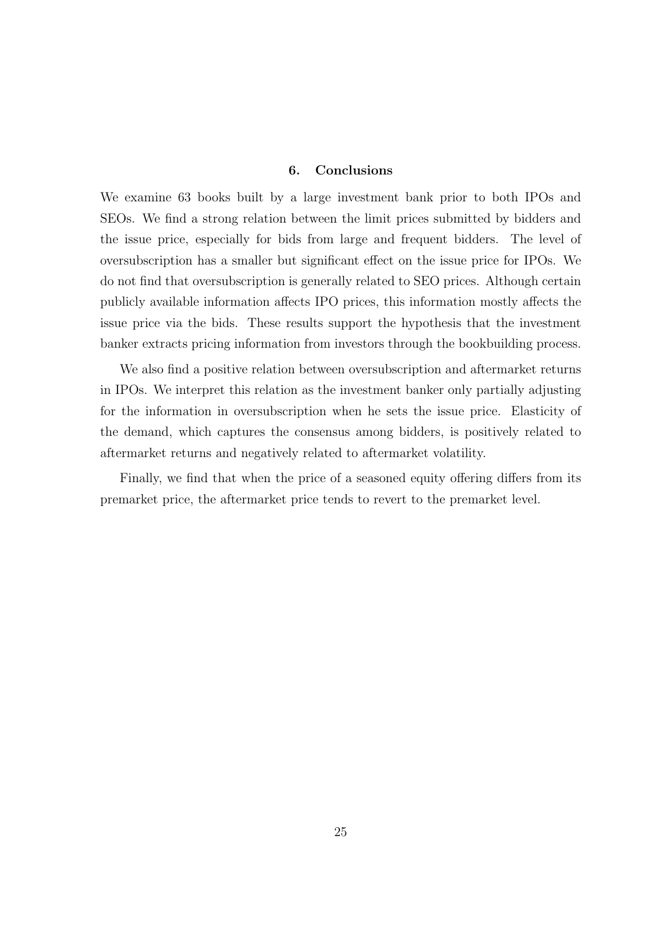## 6. Conclusions

We examine 63 books built by a large investment bank prior to both IPOs and SEOs. We find a strong relation between the limit prices submitted by bidders and the issue price, especially for bids from large and frequent bidders. The level of oversubscription has a smaller but significant effect on the issue price for IPOs. We do not find that oversubscription is generally related to SEO prices. Although certain publicly available information affects IPO prices, this information mostly affects the issue price via the bids. These results support the hypothesis that the investment banker extracts pricing information from investors through the bookbuilding process.

We also find a positive relation between oversubscription and aftermarket returns in IPOs. We interpret this relation as the investment banker only partially adjusting for the information in oversubscription when he sets the issue price. Elasticity of the demand, which captures the consensus among bidders, is positively related to aftermarket returns and negatively related to aftermarket volatility.

Finally, we find that when the price of a seasoned equity offering differs from its premarket price, the aftermarket price tends to revert to the premarket level.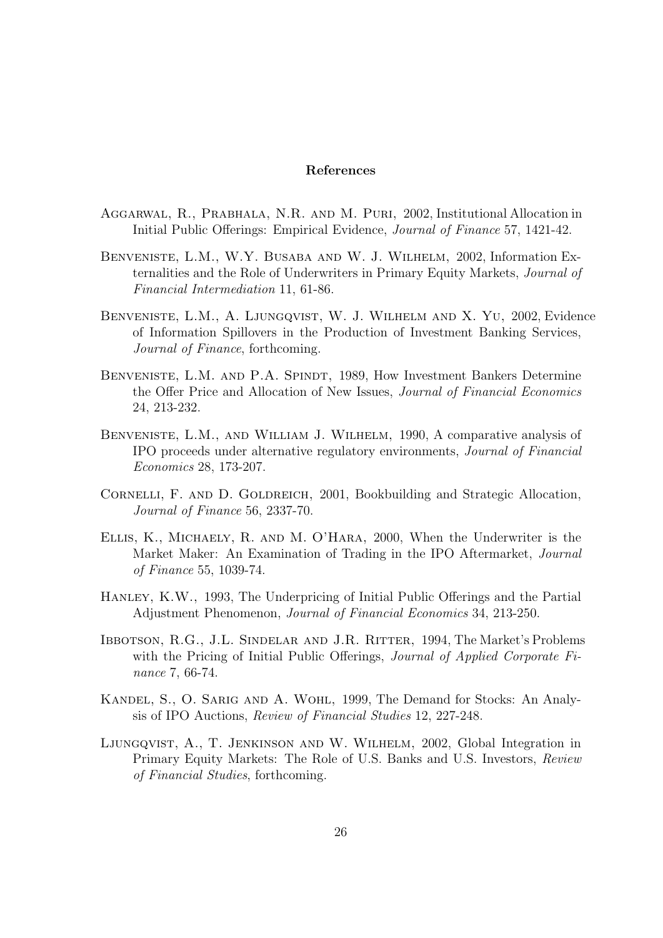### References

- Aggarwal, R., Prabhala, N.R. and M. Puri, 2002, Institutional Allocation in Initial Public Offerings: Empirical Evidence, Journal of Finance 57, 1421-42.
- Benveniste, L.M., W.Y. Busaba and W. J. Wilhelm, 2002, Information Externalities and the Role of Underwriters in Primary Equity Markets, Journal of Financial Intermediation 11, 61-86.
- Benveniste, L.M., A. Ljungqvist, W. J. Wilhelm and X. Yu, 2002, Evidence of Information Spillovers in the Production of Investment Banking Services, Journal of Finance, forthcoming.
- BENVENISTE, L.M. AND P.A. SPINDT, 1989, How Investment Bankers Determine the Offer Price and Allocation of New Issues, Journal of Financial Economics 24, 213-232.
- Benveniste, L.M., and William J. Wilhelm, 1990, A comparative analysis of IPO proceeds under alternative regulatory environments, Journal of Financial Economics 28, 173-207.
- CORNELLI, F. AND D. GOLDREICH, 2001, Bookbuilding and Strategic Allocation, Journal of Finance 56, 2337-70.
- Ellis, K., Michaely, R. and M. O'Hara, 2000, When the Underwriter is the Market Maker: An Examination of Trading in the IPO Aftermarket, Journal of Finance 55, 1039-74.
- HANLEY, K.W., 1993, The Underpricing of Initial Public Offerings and the Partial Adjustment Phenomenon, Journal of Financial Economics 34, 213-250.
- Ibbotson, R.G., J.L. Sindelar and J.R. Ritter, 1994, The Market's Problems with the Pricing of Initial Public Offerings, *Journal of Applied Corporate Fi*nance 7, 66-74.
- Kandel, S., O. Sarig and A. Wohl, 1999, The Demand for Stocks: An Analysis of IPO Auctions, Review of Financial Studies 12, 227-248.
- Ljungqvist, A., T. Jenkinson and W. Wilhelm, 2002, Global Integration in Primary Equity Markets: The Role of U.S. Banks and U.S. Investors, Review of Financial Studies, forthcoming.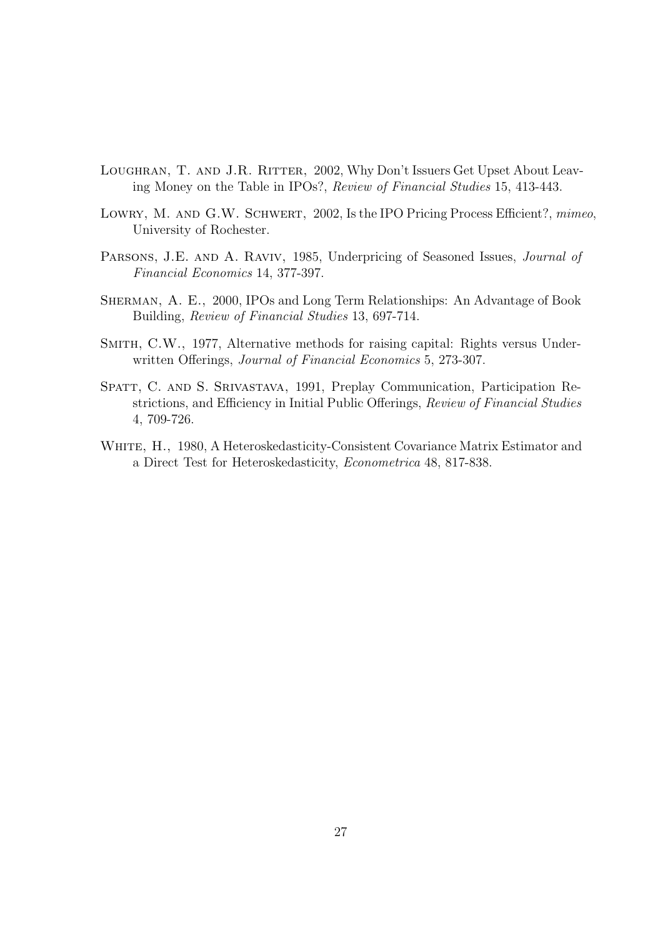- LOUGHRAN, T. AND J.R. RITTER, 2002, Why Don't Issuers Get Upset About Leaving Money on the Table in IPOs?, Review of Financial Studies 15, 413-443.
- LOWRY, M. AND G.W. SCHWERT, 2002, Is the IPO Pricing Process Efficient?, mimeo, University of Rochester.
- PARSONS, J.E. AND A. RAVIV, 1985, Underpricing of Seasoned Issues, Journal of Financial Economics 14, 377-397.
- Sherman, A. E., 2000, IPOs and Long Term Relationships: An Advantage of Book Building, Review of Financial Studies 13, 697-714.
- SMITH, C.W., 1977, Alternative methods for raising capital: Rights versus Underwritten Offerings, Journal of Financial Economics 5, 273-307.
- Spatt, C. and S. Srivastava, 1991, Preplay Communication, Participation Restrictions, and Efficiency in Initial Public Offerings, Review of Financial Studies 4, 709-726.
- WHITE, H., 1980, A Heteroskedasticity-Consistent Covariance Matrix Estimator and a Direct Test for Heteroskedasticity, Econometrica 48, 817-838.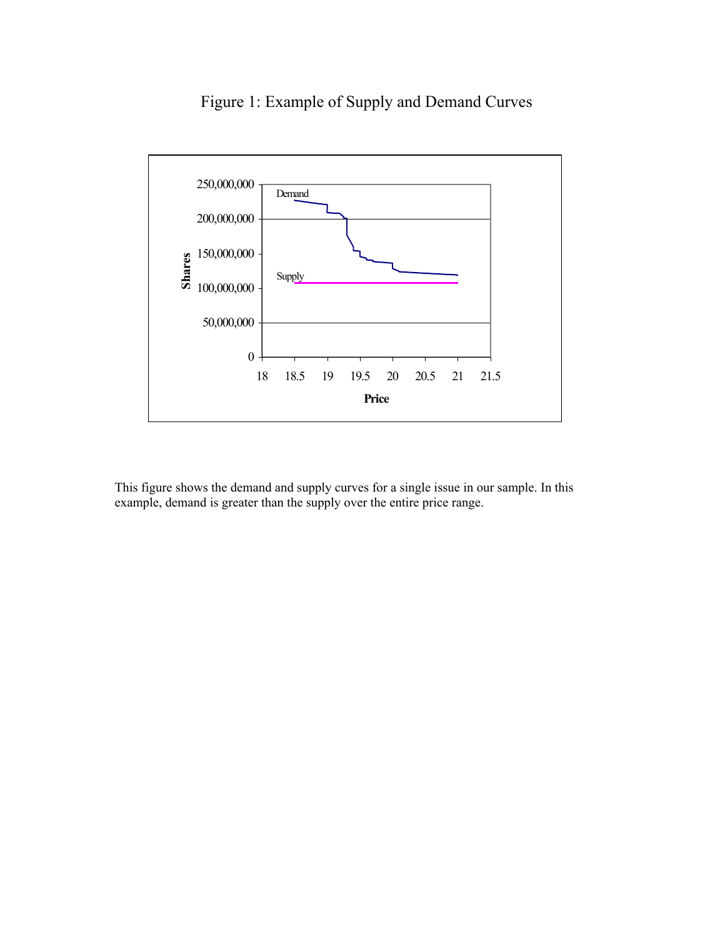

# Figure 1: Example of Supply and Demand Curves

This figure shows the demand and supply curves for a single issue in our sample. In this example, demand is greater than the supply over the entire price range.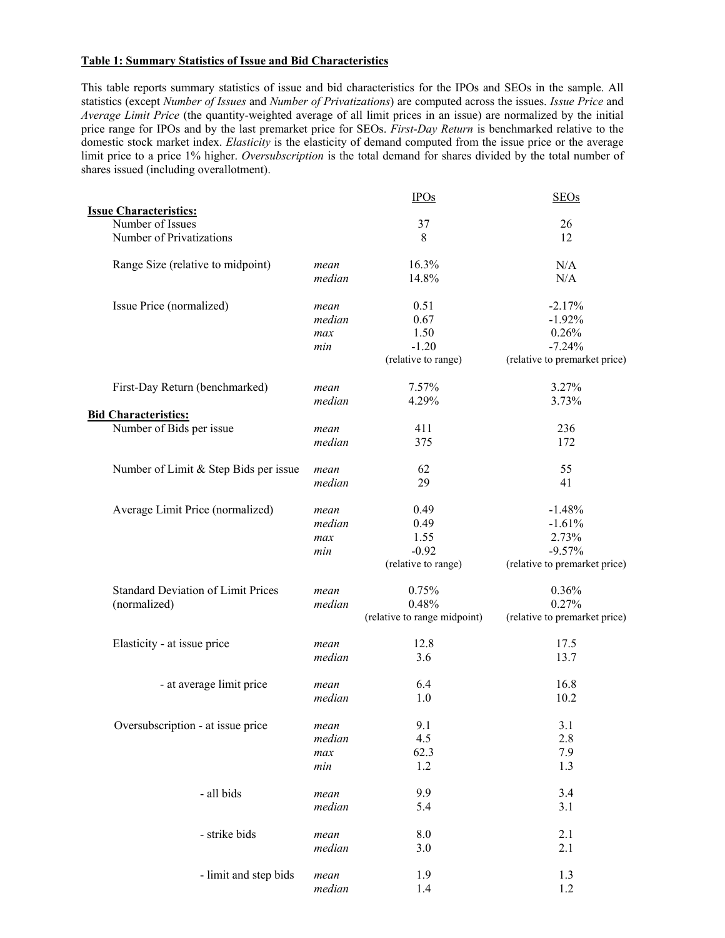## **Table 1: Summary Statistics of Issue and Bid Characteristics**

This table reports summary statistics of issue and bid characteristics for the IPOs and SEOs in the sample. All statistics (except *Number of Issues* and *Number of Privatizations*) are computed across the issues. *Issue Price* and *Average Limit Price* (the quantity-weighted average of all limit prices in an issue) are normalized by the initial price range for IPOs and by the last premarket price for SEOs. *First-Day Return* is benchmarked relative to the domestic stock market index. *Elasticity* is the elasticity of demand computed from the issue price or the average limit price to a price 1% higher. *Oversubscription* is the total demand for shares divided by the total number of shares issued (including overallotment).

|                                           |        | <b>IPOs</b>                  | <b>SEOs</b>                   |
|-------------------------------------------|--------|------------------------------|-------------------------------|
| <b>Issue Characteristics:</b>             |        |                              |                               |
| Number of Issues                          |        | 37                           | 26                            |
| Number of Privatizations                  |        | 8                            | 12                            |
| Range Size (relative to midpoint)         | mean   | 16.3%                        | N/A                           |
|                                           | median | 14.8%                        | N/A                           |
| Issue Price (normalized)                  | mean   | 0.51                         | $-2.17%$                      |
|                                           | median | 0.67                         | $-1.92%$                      |
|                                           | max    | 1.50                         | 0.26%                         |
|                                           | min    | $-1.20$                      | $-7.24%$                      |
|                                           |        | (relative to range)          | (relative to premarket price) |
| First-Day Return (benchmarked)            | mean   | 7.57%                        | 3.27%                         |
|                                           | median | 4.29%                        | 3.73%                         |
| <b>Bid Characteristics:</b>               |        |                              |                               |
| Number of Bids per issue                  | mean   | 411                          | 236                           |
|                                           | median | 375                          | 172                           |
| Number of Limit & Step Bids per issue     | mean   | 62                           | 55                            |
|                                           | median | 29                           | 41                            |
|                                           |        |                              |                               |
| Average Limit Price (normalized)          | mean   | 0.49                         | $-1.48%$                      |
|                                           | median | 0.49                         | $-1.61%$                      |
|                                           | max    | 1.55                         | 2.73%                         |
|                                           | min    | $-0.92$                      | $-9.57%$                      |
|                                           |        | (relative to range)          | (relative to premarket price) |
| <b>Standard Deviation of Limit Prices</b> | mean   | 0.75%                        | 0.36%                         |
| (normalized)                              | median | 0.48%                        | 0.27%                         |
|                                           |        | (relative to range midpoint) | (relative to premarket price) |
| Elasticity - at issue price               | mean   | 12.8                         | 17.5                          |
|                                           | median | 3.6                          | 13.7                          |
| - at average limit price                  | mean   | 6.4                          | 16.8                          |
|                                           | median | 1.0                          | 10.2                          |
| Oversubscription - at issue price         | mean   | 9.1                          | 3.1                           |
|                                           | median | 4.5                          | 2.8                           |
|                                           | max    | 62.3                         | 7.9                           |
|                                           | min    | 1.2                          | 1.3                           |
|                                           |        |                              |                               |
| - all bids                                | mean   | 9.9                          | 3.4                           |
|                                           | median | 5.4                          | 3.1                           |
| - strike bids                             | mean   | 8.0                          | 2.1                           |
|                                           | median | 3.0                          | 2.1                           |
| - limit and step bids                     | mean   | 1.9                          | 1.3                           |
|                                           | median | 1.4                          | 1.2                           |
|                                           |        |                              |                               |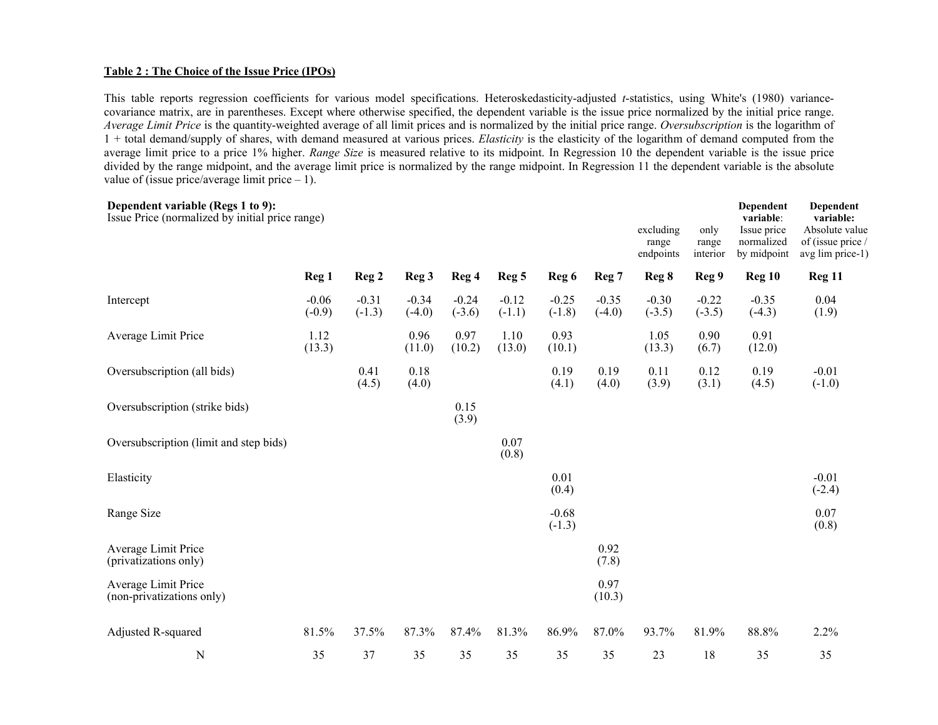#### **Table 2 : The Choice of the Issue Price (IPOs)**

This table reports regression coefficients for various model specifications. Heteroskedasticity-adjusted *t*-statistics, using White's (1980) variancecovariance matrix, are in parentheses. Except where otherwise specified, the dependent variable is the issue price normalized by the initial price range. *Average Limit Price* is the quantity-weighted average of all limit prices and is normalized by the initial price range. *Oversubscription* is the logarithm of 1 + total demand/supply of shares, with demand measured at various prices. *Elasticity* is the elasticity of the logarithm of demand computed from the average limit price to a price 1% higher. *Range Size* is measured relative to its midpoint. In Regression 10 the dependent variable is the issue price divided by the range midpoint, and the average limit price is normalized by the range midpoint. In Regression 11 the dependent variable is the absolute value of (issue price/average limit price  $-1$ ).

| Dependent variable (Regs 1 to 9):<br>Issue Price (normalized by initial price range) |                     |                     |                     |                     |                     |                     |                     | excluding<br>range<br>endpoints | only<br>range<br>interior | Dependent<br>variable:<br>Issue price<br>normalized<br>by midpoint | Dependent<br>variable:<br>Absolute value<br>of (issue price /<br>avg lim price-1) |
|--------------------------------------------------------------------------------------|---------------------|---------------------|---------------------|---------------------|---------------------|---------------------|---------------------|---------------------------------|---------------------------|--------------------------------------------------------------------|-----------------------------------------------------------------------------------|
|                                                                                      | Reg <sub>1</sub>    | Reg <sub>2</sub>    | Reg 3               | Reg 4               | Reg <sub>5</sub>    | Reg 6               | Reg 7               | Reg 8                           | Reg 9                     | Reg 10                                                             | Reg 11                                                                            |
| Intercept                                                                            | $-0.06$<br>$(-0.9)$ | $-0.31$<br>$(-1.3)$ | $-0.34$<br>$(-4.0)$ | $-0.24$<br>$(-3.6)$ | $-0.12$<br>$(-1.1)$ | $-0.25$<br>$(-1.8)$ | $-0.35$<br>$(-4.0)$ | $-0.30$<br>$(-3.5)$             | $-0.22$<br>$(-3.5)$       | $-0.35$<br>$(-4.3)$                                                | 0.04<br>(1.9)                                                                     |
| Average Limit Price                                                                  | 1.12<br>(13.3)      |                     | 0.96<br>(11.0)      | 0.97<br>(10.2)      | 1.10<br>(13.0)      | 0.93<br>(10.1)      |                     | 1.05<br>(13.3)                  | 0.90<br>(6.7)             | 0.91<br>(12.0)                                                     |                                                                                   |
| Oversubscription (all bids)                                                          |                     | 0.41<br>(4.5)       | 0.18<br>(4.0)       |                     |                     | 0.19<br>(4.1)       | 0.19<br>(4.0)       | 0.11<br>(3.9)                   | 0.12<br>(3.1)             | 0.19<br>(4.5)                                                      | $-0.01$<br>$(-1.0)$                                                               |
| Oversubscription (strike bids)                                                       |                     |                     |                     | 0.15<br>(3.9)       |                     |                     |                     |                                 |                           |                                                                    |                                                                                   |
| Oversubscription (limit and step bids)                                               |                     |                     |                     |                     | 0.07<br>(0.8)       |                     |                     |                                 |                           |                                                                    |                                                                                   |
| Elasticity                                                                           |                     |                     |                     |                     |                     | 0.01<br>(0.4)       |                     |                                 |                           |                                                                    | $-0.01$<br>$(-2.4)$                                                               |
| Range Size                                                                           |                     |                     |                     |                     |                     | $-0.68$<br>$(-1.3)$ |                     |                                 |                           |                                                                    | 0.07<br>(0.8)                                                                     |
| Average Limit Price<br>(privatizations only)                                         |                     |                     |                     |                     |                     |                     | 0.92<br>(7.8)       |                                 |                           |                                                                    |                                                                                   |
| Average Limit Price<br>(non-privatizations only)                                     |                     |                     |                     |                     |                     |                     | 0.97<br>(10.3)      |                                 |                           |                                                                    |                                                                                   |
| Adjusted R-squared                                                                   | 81.5%               | 37.5%               | 87.3%               | 87.4%               | 81.3%               | 86.9%               | 87.0%               | 93.7%                           | 81.9%                     | 88.8%                                                              | 2.2%                                                                              |
| $\mathbf N$                                                                          | 35                  | 37                  | 35                  | 35                  | 35                  | 35                  | 35                  | 23                              | 18                        | 35                                                                 | 35                                                                                |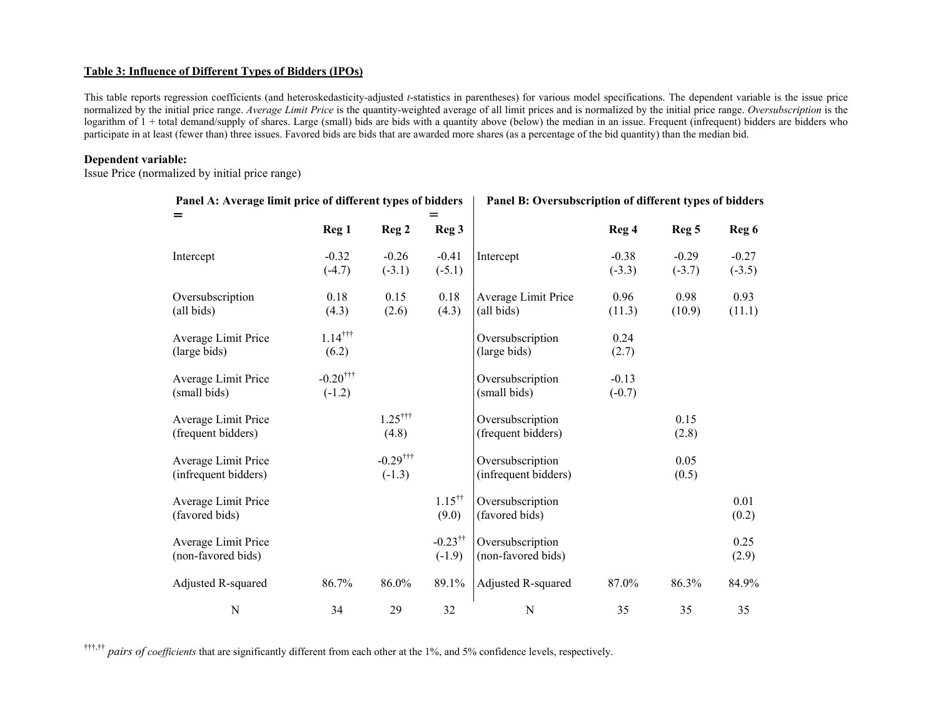## **Table 3: Influence of Different Types of Bidders (IPOs)**

This table reports regression coefficients (and heteroskedasticity-adjusted *t*-statistics in parentheses) for various model specifications. The dependent variable is the issue price normalized by the initial price range. *Average Limit Price* is the quantity-weighted average of all limit prices and is normalized by the initial price range. *Oversubscription* is the logarithm of  $1 +$  total demand/supply of shares. Large (small) bids are bids with a quantity above (below) the median in an issue. Frequent (infrequent) bidders are bidders who participate in at least (fewer than) three issues. Favored bids are bids that are awarded more shares (as a percentage of the bid quantity) than the median bid.

#### **Dependent variable:**

Issue Price (normalized by initial price range)

| r anel A: Average mint price of unferent types of bidders |                                    |                                    |                                   | r aner B: Oversubscription of unferent types of bidders |                     |                     |                     |
|-----------------------------------------------------------|------------------------------------|------------------------------------|-----------------------------------|---------------------------------------------------------|---------------------|---------------------|---------------------|
| $=$                                                       | Reg <sub>1</sub>                   | Reg <sub>2</sub>                   | $=$<br>Reg 3                      |                                                         | Reg 4               | Reg <sub>5</sub>    | Reg 6               |
| Intercept                                                 | $-0.32$<br>$(-4.7)$                | $-0.26$<br>$(-3.1)$                | $-0.41$<br>$(-5.1)$               | Intercept                                               | $-0.38$<br>$(-3.3)$ | $-0.29$<br>$(-3.7)$ | $-0.27$<br>$(-3.5)$ |
| Oversubscription<br>(all bids)                            | 0.18<br>(4.3)                      | 0.15<br>(2.6)                      | 0.18<br>(4.3)                     | Average Limit Price<br>(all bids)                       | 0.96<br>(11.3)      | 0.98<br>(10.9)      | 0.93<br>(11.1)      |
| Average Limit Price<br>(large bids)                       | $1.14$ <sup>†††</sup><br>(6.2)     |                                    |                                   | Oversubscription<br>(large bids)                        | 0.24<br>(2.7)       |                     |                     |
| Average Limit Price<br>(small bids)                       | $-0.20$ <sup>†††</sup><br>$(-1.2)$ |                                    |                                   | Oversubscription<br>(small bids)                        | $-0.13$<br>$(-0.7)$ |                     |                     |
| Average Limit Price<br>(frequent bidders)                 |                                    | $1.25$ <sup>†††</sup><br>(4.8)     |                                   | Oversubscription<br>(frequent bidders)                  |                     | 0.15<br>(2.8)       |                     |
| Average Limit Price<br>(infrequent bidders)               |                                    | $-0.29$ <sup>†††</sup><br>$(-1.3)$ |                                   | Oversubscription<br>(infrequent bidders)                |                     | 0.05<br>(0.5)       |                     |
| Average Limit Price<br>(favored bids)                     |                                    |                                    | $1.15^{\dagger\dagger}$<br>(9.0)  | Oversubscription<br>(favored bids)                      |                     |                     | 0.01<br>(0.2)       |
| Average Limit Price<br>(non-favored bids)                 |                                    |                                    | $-0.23$ <sup>††</sup><br>$(-1.9)$ | Oversubscription<br>(non-favored bids)                  |                     |                     | 0.25<br>(2.9)       |
| Adjusted R-squared                                        | 86.7%                              | 86.0%                              | 89.1%                             | Adjusted R-squared                                      | 87.0%               | 86.3%               | 84.9%               |
| $\mathbf N$                                               | 34                                 | 29                                 | 32                                | ${\bf N}$                                               | 35                  | 35                  | 35                  |

Panel A: Average limit price of different types of bidders **Panel B:** Oversubscription of different types of bidders

†††,†† *pairs of coefficients* that are significantly different from each other at the 1%, and 5% confidence levels, respectively.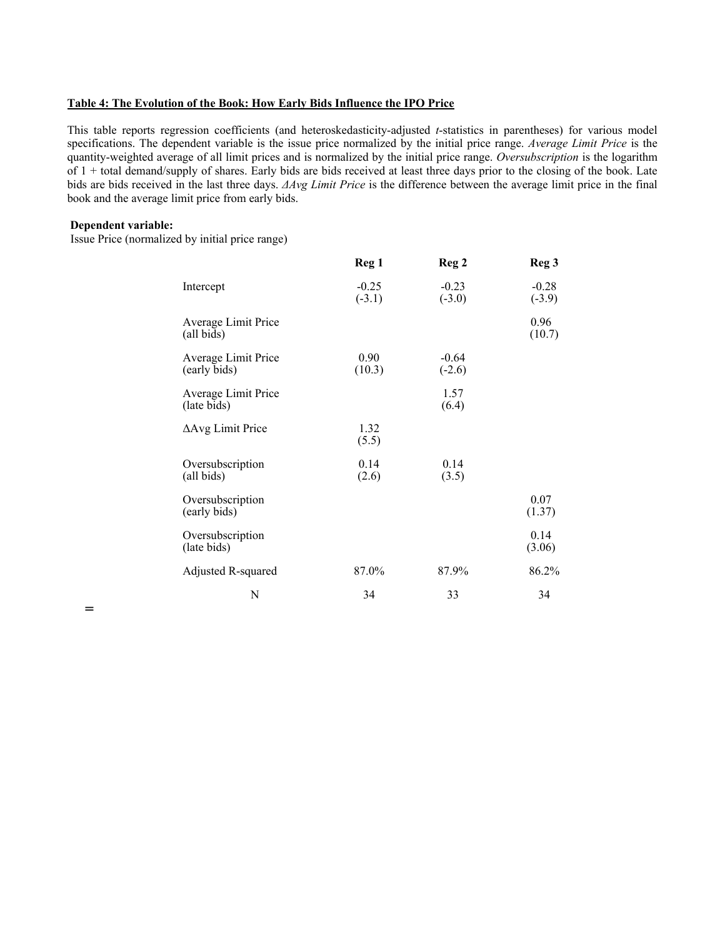#### **Table 4: The Evolution of the Book: How Early Bids Influence the IPO Price**

This table reports regression coefficients (and heteroskedasticity-adjusted *t*-statistics in parentheses) for various model specifications. The dependent variable is the issue price normalized by the initial price range. *Average Limit Price* is the quantity-weighted average of all limit prices and is normalized by the initial price range. *Oversubscription* is the logarithm of  $1 +$  total demand/supply of shares. Early bids are bids received at least three days prior to the closing of the book. Late bids are bids received in the last three days. *∆Avg Limit Price* is the difference between the average limit price in the final book and the average limit price from early bids.

## **Dependent variable:**

=

Issue Price (normalized by initial price range)

|                                     | Reg 1               | Reg <sub>2</sub>    | Reg <sub>3</sub>    |
|-------------------------------------|---------------------|---------------------|---------------------|
| Intercept                           | $-0.25$<br>$(-3.1)$ | $-0.23$<br>$(-3.0)$ | $-0.28$<br>$(-3.9)$ |
| Average Limit Price<br>(all bids)   |                     |                     | 0.96<br>(10.7)      |
| Average Limit Price<br>(early bids) | 0.90<br>(10.3)      | $-0.64$<br>$(-2.6)$ |                     |
| Average Limit Price<br>(late bids)  |                     | 1.57<br>(6.4)       |                     |
| $\Delta$ Avg Limit Price            | 1.32<br>(5.5)       |                     |                     |
| Oversubscription<br>(all bids)      | 0.14<br>(2.6)       | 0.14<br>(3.5)       |                     |
| Oversubscription<br>(early bids)    |                     |                     | 0.07<br>(1.37)      |
| Oversubscription<br>(late bids)     |                     |                     | 0.14<br>(3.06)      |
| Adjusted R-squared                  | 87.0%               | 87.9%               | 86.2%               |
| N                                   | 34                  | 33                  | 34                  |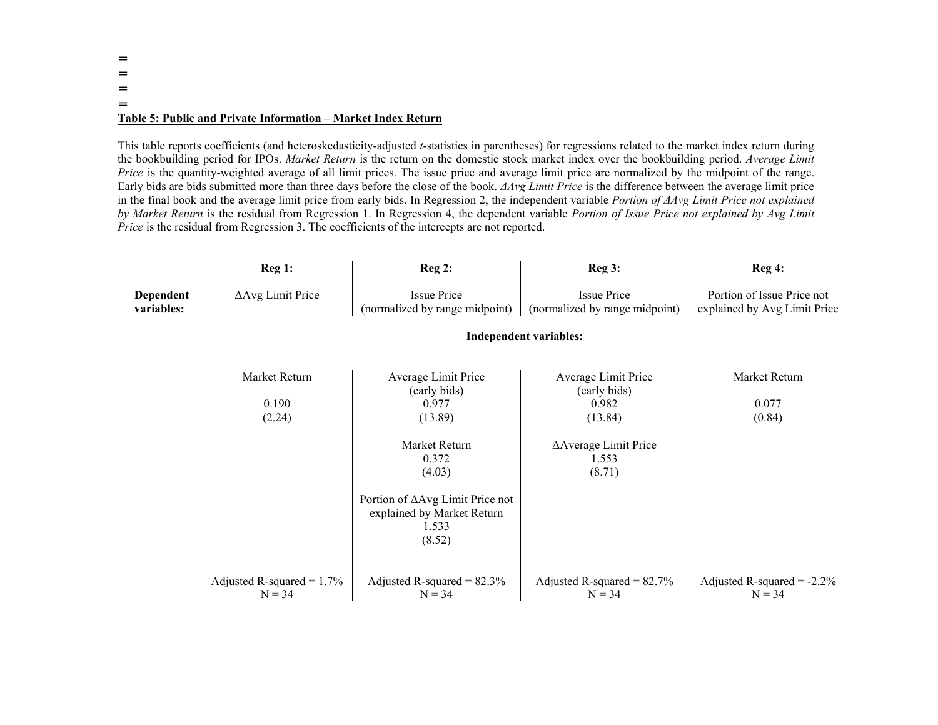## ====**Table 5: Public and Private Information – Market Index Return**

This table reports coefficients (and heteroskedasticity-adjusted *t*-statistics in parentheses) for regressions related to the market index return during the bookbuilding period for IPOs. *Market Return* is the return on the domestic stock market index over the bookbuilding period. *Average Limit Price* is the quantity-weighted average of all limit prices. The issue price and average limit price are normalized by the midpoint of the range. Early bids are bids submitted more than three days before the close of the book. *∆Avg Limit Price* is the difference between the average limit price in the final book and the average limit price from early bids. In Regression 2, the independent variable *Portion of ∆Avg Limit Price not explained by Market Return* is the residual from Regression 1. In Regression 4, the dependent variable *Portion of Issue Price not explained by Avg Limit Price* is the residual from Regression 3. The coefficients of the intercepts are not reported.

|                         | Reg 1:                                   | Reg <sub>2</sub> :                                                                                                                                                              | Reg3:                                                                                              | Reg 4:                                                     |
|-------------------------|------------------------------------------|---------------------------------------------------------------------------------------------------------------------------------------------------------------------------------|----------------------------------------------------------------------------------------------------|------------------------------------------------------------|
| Dependent<br>variables: | ΔAvg Limit Price                         | <b>Issue Price</b><br>(normalized by range midpoint)                                                                                                                            | <b>Issue Price</b><br>(normalized by range midpoint)                                               | Portion of Issue Price not<br>explained by Avg Limit Price |
|                         |                                          |                                                                                                                                                                                 | <b>Independent variables:</b>                                                                      |                                                            |
|                         | Market Return<br>0.190<br>(2.24)         | Average Limit Price<br>(early bids)<br>0.977<br>(13.89)<br>Market Return<br>0.372<br>(4.03)<br>Portion of ΔAvg Limit Price not<br>explained by Market Return<br>1.533<br>(8.52) | Average Limit Price<br>(early bids)<br>0.982<br>(13.84)<br>∆Average Limit Price<br>1.553<br>(8.71) | Market Return<br>0.077<br>(0.84)                           |
|                         | Adjusted R-squared = $1.7\%$<br>$N = 34$ | Adjusted R-squared = $82.3\%$<br>$N = 34$                                                                                                                                       | Adjusted R-squared = $82.7\%$<br>$N = 34$                                                          | Adjusted R-squared = $-2.2\%$<br>$N = 34$                  |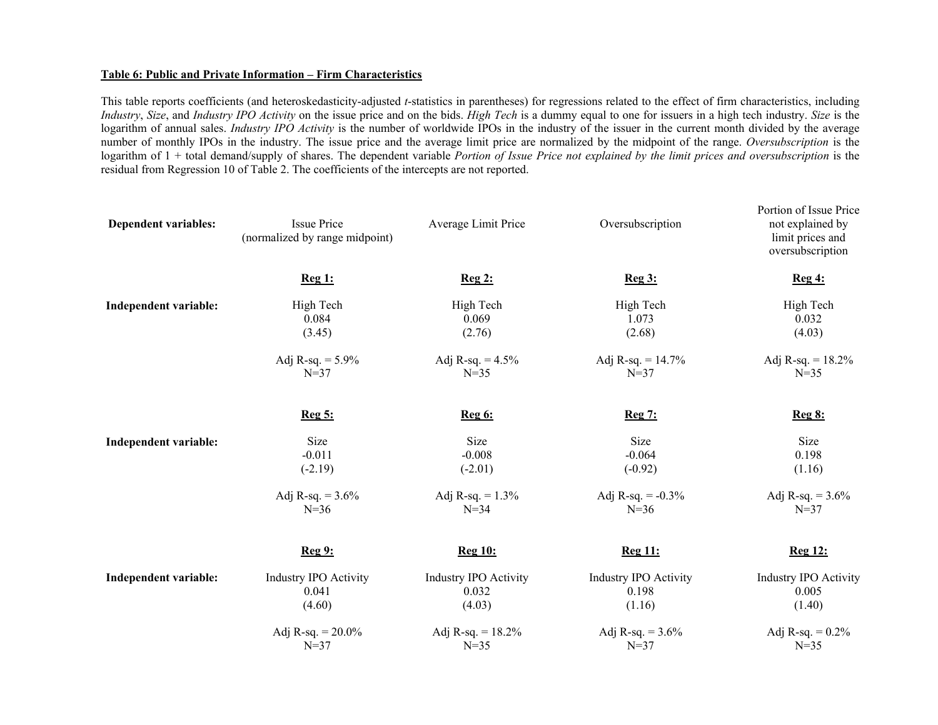#### **Table 6: Public and Private Information – Firm Characteristics**

 This table reports coefficients (and heteroskedasticity-adjusted *t*-statistics in parentheses) for regressions related to the effect of firm characteristics, including *Industry*, *Size*, and *Industry IPO Activity* on the issue price and on the bids. *High Tech* is a dummy equal to one for issuers in a high tech industry. *Size* is the logarithm of annual sales. *Industry IPO Activity* is the number of worldwide IPOs in the industry of the issuer in the current month divided by the average number of monthly IPOs in the industry. The issue price and the average limit price are normalized by the midpoint of the range. *Oversubscription* is the logarithm of 1 + total demand/supply of shares. The dependent variable *Portion of Issue Price not explained by the limit prices and oversubscription* is the residual from Regression 10 of Table 2. The coefficients of the intercepts are not reported.

| Dependent variables:         | <b>Issue Price</b><br>(normalized by range midpoint) | Average Limit Price   | Oversubscription             | Portion of Issue Price<br>not explained by<br>limit prices and<br>oversubscription |
|------------------------------|------------------------------------------------------|-----------------------|------------------------------|------------------------------------------------------------------------------------|
|                              | Reg 1:                                               | Reg2:                 | Reg3:                        | Reg4:                                                                              |
| <b>Independent variable:</b> | High Tech                                            | High Tech             | High Tech                    | High Tech                                                                          |
|                              | 0.084                                                | 0.069                 | 1.073                        | 0.032                                                                              |
|                              | (3.45)                                               | (2.76)                | (2.68)                       | (4.03)                                                                             |
|                              | Adj R-sq. = $5.9\%$                                  | Adj R-sq. = $4.5\%$   | Adj R-sq. = $14.7\%$         | Adj R-sq. = $18.2\%$                                                               |
|                              | $N = 37$                                             | $N=35$                | $N=37$                       | $N = 35$                                                                           |
|                              | <u>Reg 5:</u>                                        | <b>Reg 6:</b>         | <u>Reg 7:</u>                | <u>Reg 8:</u>                                                                      |
| <b>Independent variable:</b> | <b>Size</b>                                          | Size                  | Size                         | Size                                                                               |
|                              | $-0.011$                                             | $-0.008$              | $-0.064$                     | 0.198                                                                              |
|                              | $(-2.19)$                                            | $(-2.01)$             | $(-0.92)$                    | (1.16)                                                                             |
|                              | Adj R-sq. = $3.6\%$                                  | Adj R-sq. = $1.3\%$   | Adj R-sq. = $-0.3\%$         | Adj R-sq. = $3.6\%$                                                                |
|                              | $N=36$                                               | $N = 34$              | $N = 36$                     | $N = 37$                                                                           |
|                              | <b>Reg 9:</b>                                        | <b>Reg 10:</b>        | <b>Reg 11:</b>               | <b>Reg 12:</b>                                                                     |
| Independent variable:        | <b>Industry IPO Activity</b>                         | Industry IPO Activity | <b>Industry IPO Activity</b> | <b>Industry IPO Activity</b>                                                       |
|                              | 0.041                                                | 0.032                 | 0.198                        | 0.005                                                                              |
|                              | (4.60)                                               | (4.03)                | (1.16)                       | (1.40)                                                                             |
|                              | Adj R-sq. = $20.0\%$                                 | Adj R-sq. = $18.2\%$  | Adj R-sq. = $3.6\%$          | Adj R-sq. = $0.2\%$                                                                |
|                              | $N = 37$                                             | $N = 35$              | $N=37$                       | $N = 35$                                                                           |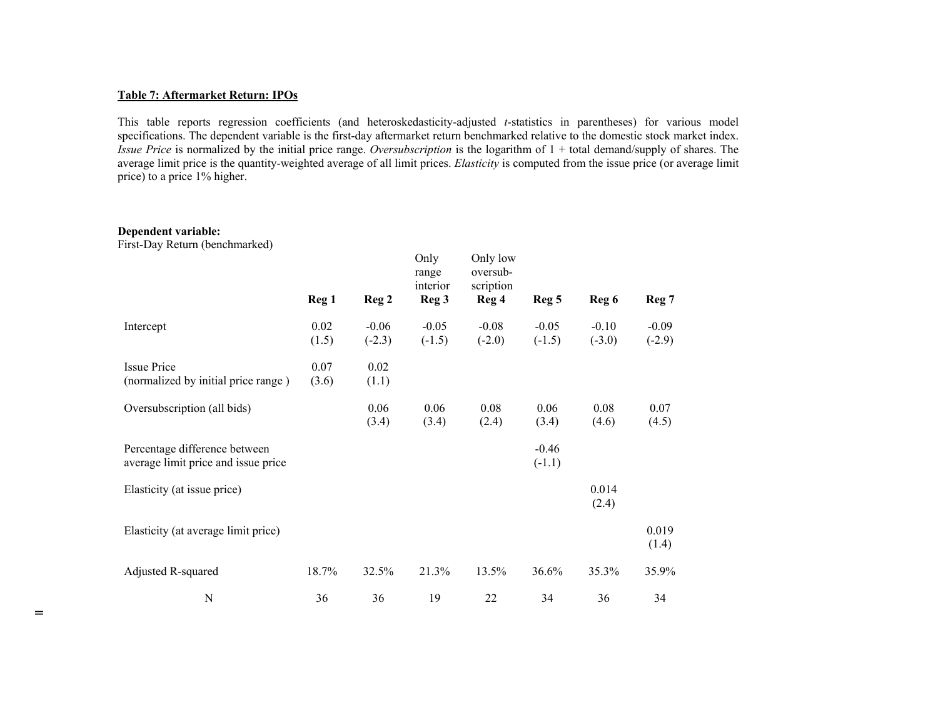#### **Table 7: Aftermarket Return: IPOs**

This table reports regression coefficients (and heteroskedasticity-adjusted *t*-statistics in parentheses) for various model specifications. The dependent variable is the first-day aftermarket return benchmarked relative to the domestic stock market index. *Issue Price* is normalized by the initial price range. *Oversubscription* is the logarithm of 1 + total demand/supply of shares. The average limit price is the quantity-weighted average of all limit prices. *Elasticity* is computed from the issue price (or average limit price) to a price 1% higher.

# **Dependent variable:**

=

First-Day Return (benchmarked)

|                                     | Reg <sub>1</sub> | Reg <sub>2</sub> | Only<br>range<br>interior<br>Reg <sub>3</sub> | Only low<br>oversub-<br>scription<br>Reg 4 | Reg <sub>5</sub> | Reg 6    | Reg 7    |
|-------------------------------------|------------------|------------------|-----------------------------------------------|--------------------------------------------|------------------|----------|----------|
| Intercept                           | 0.02             | $-0.06$          | $-0.05$                                       | $-0.08$                                    | $-0.05$          | $-0.10$  | $-0.09$  |
|                                     | (1.5)            | $(-2.3)$         | $(-1.5)$                                      | $(-2.0)$                                   | $(-1.5)$         | $(-3.0)$ | $(-2.9)$ |
| <b>Issue Price</b>                  | 0.07             | 0.02             |                                               |                                            |                  |          |          |
| (normalized by initial price range) | (3.6)            | (1.1)            |                                               |                                            |                  |          |          |
| Oversubscription (all bids)         |                  | 0.06             | 0.06                                          | 0.08                                       | 0.06             | 0.08     | 0.07     |
|                                     |                  | (3.4)            | (3.4)                                         | (2.4)                                      | (3.4)            | (4.6)    | (4.5)    |
| Percentage difference between       |                  |                  |                                               |                                            | $-0.46$          |          |          |
| average limit price and issue price |                  |                  |                                               |                                            | $(-1.1)$         |          |          |
| Elasticity (at issue price)         |                  |                  |                                               |                                            |                  | 0.014    |          |
|                                     |                  |                  |                                               |                                            |                  | (2.4)    |          |
| Elasticity (at average limit price) |                  |                  |                                               |                                            |                  |          | 0.019    |
|                                     |                  |                  |                                               |                                            |                  |          | (1.4)    |
| Adjusted R-squared                  | 18.7%            | 32.5%            | 21.3%                                         | 13.5%                                      | 36.6%            | 35.3%    | 35.9%    |
| N                                   | 36               | 36               | 19                                            | 22                                         | 34               | 36       | 34       |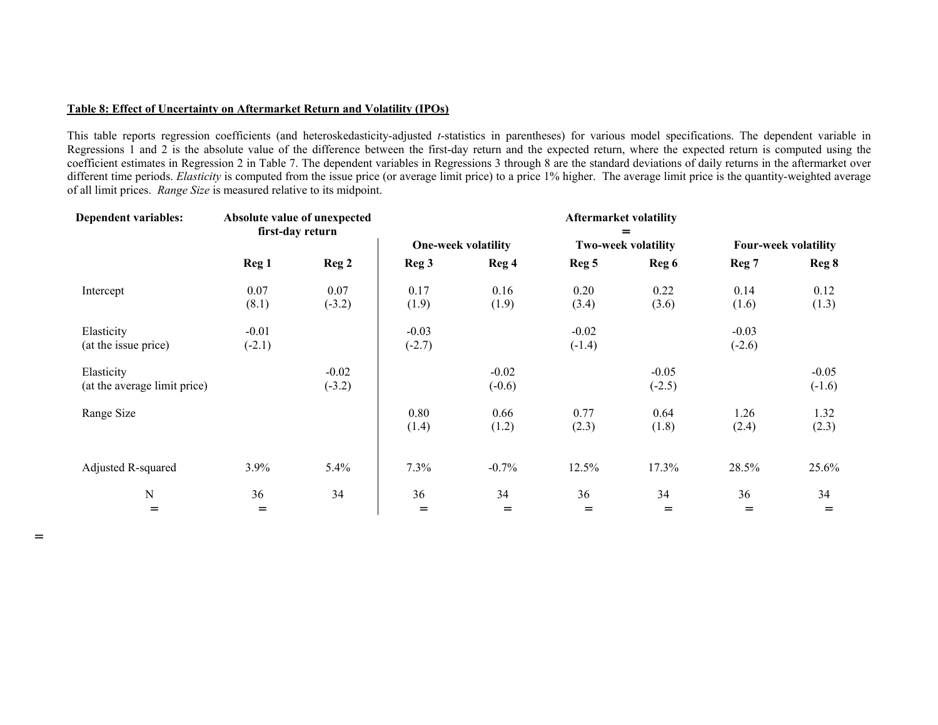## **Table 8: Effect of Uncertainty on Aftermarket Return and Volatility (IPOs)**

 $=$ 

This table reports regression coefficients (and heteroskedasticity-adjusted *t*-statistics in parentheses) for various model specifications. The dependent variable in Regressions 1 and 2 is the absolute value of the difference between the first-day return and the expected return, where the expected return is computed using the coefficient estimates in Regression 2 in Table 7. The dependent variables in Regressions 3 through 8 are the standard deviations of daily returns in the aftermarket over different time periods. *Elasticity* is computed from the issue price (or average limit price) to a price 1% higher. The average limit price is the quantity-weighted average of all limit prices. *Range Size* is measured relative to its midpoint.

| <b>Dependent variables:</b>                |                     | Absolute value of unexpected<br>first-day return | <b>Aftermarket volatility</b> |                            |                            |                     |                             |                     |  |  |
|--------------------------------------------|---------------------|--------------------------------------------------|-------------------------------|----------------------------|----------------------------|---------------------|-----------------------------|---------------------|--|--|
|                                            |                     |                                                  |                               | <b>One-week volatility</b> | <b>Two-week volatility</b> |                     | <b>Four-week volatility</b> |                     |  |  |
|                                            | Reg <sub>1</sub>    | Reg 2                                            | Reg <sub>3</sub>              | Reg 4                      | Reg <sub>5</sub>           | Reg 6               | Reg 7                       | Reg 8               |  |  |
| Intercept                                  | 0.07<br>(8.1)       | 0.07<br>$(-3.2)$                                 | 0.17<br>(1.9)                 | 0.16<br>(1.9)              | 0.20<br>(3.4)              | 0.22<br>(3.6)       | 0.14<br>(1.6)               | 0.12<br>(1.3)       |  |  |
| Elasticity<br>(at the issue price)         | $-0.01$<br>$(-2.1)$ |                                                  | $-0.03$<br>$(-2.7)$           |                            | $-0.02$<br>$(-1.4)$        |                     | $-0.03$<br>$(-2.6)$         |                     |  |  |
| Elasticity<br>(at the average limit price) |                     | $-0.02$<br>$(-3.2)$                              |                               | $-0.02$<br>$(-0.6)$        |                            | $-0.05$<br>$(-2.5)$ |                             | $-0.05$<br>$(-1.6)$ |  |  |
| Range Size                                 |                     |                                                  | 0.80<br>(1.4)                 | 0.66<br>(1.2)              | 0.77<br>(2.3)              | 0.64<br>(1.8)       | 1.26<br>(2.4)               | 1.32<br>(2.3)       |  |  |
| Adjusted R-squared                         | 3.9%                | 5.4%                                             | 7.3%                          | $-0.7%$                    | 12.5%                      | 17.3%               | 28.5%                       | 25.6%               |  |  |
| ${\bf N}$                                  | 36                  | 34                                               | 36                            | 34                         | 36                         | 34                  | 36                          | 34                  |  |  |
| $=$                                        | $=$                 |                                                  | $=$                           | $=$                        | $=$                        | $=$                 | $=$                         | $=$                 |  |  |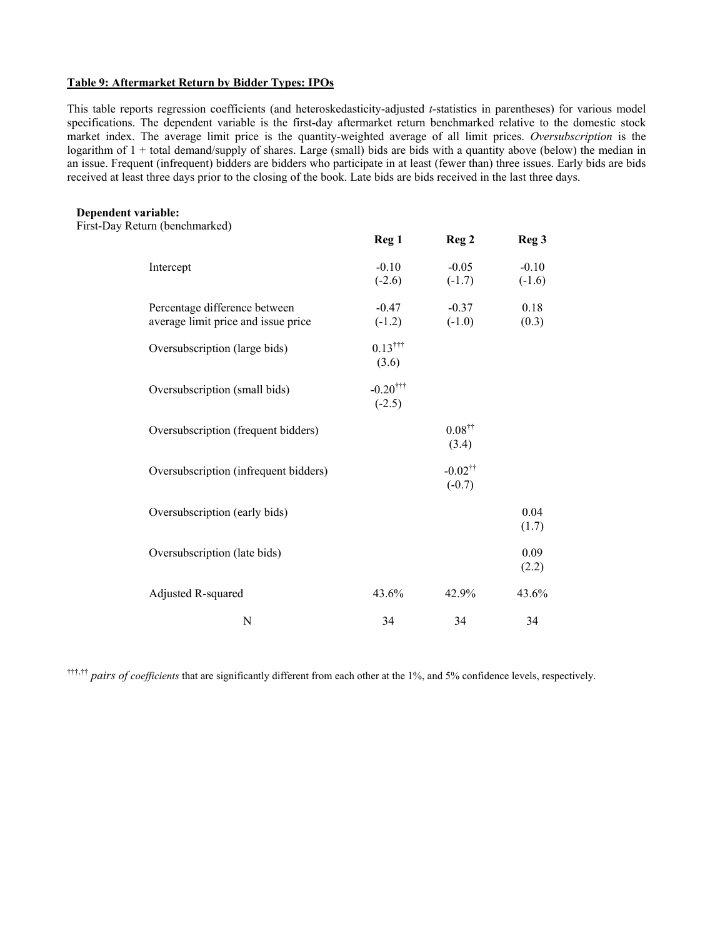## **Table 9: Aftermarket Return by Bidder Types: IPOs**

This table reports regression coefficients (and heteroskedasticity-adjusted *t*-statistics in parentheses) for various model specifications. The dependent variable is the first-day aftermarket return benchmarked relative to the domestic stock market index. The average limit price is the quantity-weighted average of all limit prices. *Oversubscription* is the logarithm of  $1 +$  total demand/supply of shares. Large (small) bids are bids with a quantity above (below) the median in an issue. Frequent (infrequent) bidders are bidders who participate in at least (fewer than) three issues. Early bids are bids received at least three days prior to the closing of the book. Late bids are bids received in the last three days.

#### **Dependent variable:**

First-Day Return (benchmarked)

| $\cdots$ , $\circ$ $\cdots$ $\cdots$                                 | Reg <sub>1</sub>                   | Reg <sub>2</sub>                  | Reg <sub>3</sub>    |
|----------------------------------------------------------------------|------------------------------------|-----------------------------------|---------------------|
| Intercept                                                            | $-0.10$<br>$(-2.6)$                | $-0.05$<br>$(-1.7)$               | $-0.10$<br>$(-1.6)$ |
| Percentage difference between<br>average limit price and issue price | $-0.47$<br>$(-1.2)$                | $-0.37$<br>$(-1.0)$               | 0.18<br>(0.3)       |
| Oversubscription (large bids)                                        | $0.13$ <sup>†††</sup><br>(3.6)     |                                   |                     |
| Oversubscription (small bids)                                        | $-0.20$ <sup>†††</sup><br>$(-2.5)$ |                                   |                     |
| Oversubscription (frequent bidders)                                  |                                    | $0.08$ <sup>††</sup><br>(3.4)     |                     |
| Oversubscription (infrequent bidders)                                |                                    | $-0.02$ <sup>††</sup><br>$(-0.7)$ |                     |
| Oversubscription (early bids)                                        |                                    |                                   | 0.04<br>(1.7)       |
| Oversubscription (late bids)                                         |                                    |                                   | 0.09<br>(2.2)       |
| Adjusted R-squared                                                   | 43.6%                              | 42.9%                             | 43.6%               |
| N                                                                    | 34                                 | 34                                | 34                  |

†††,†† *pairs of coefficients* that are significantly different from each other at the 1%, and 5% confidence levels, respectively.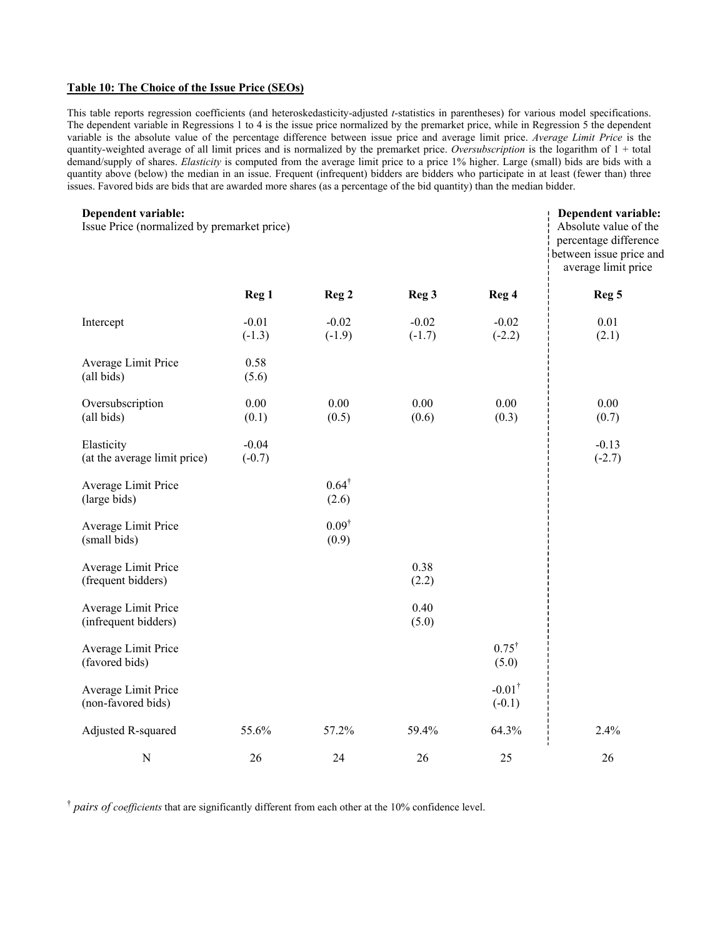## **Table 10: The Choice of the Issue Price (SEOs)**

This table reports regression coefficients (and heteroskedasticity-adjusted *t*-statistics in parentheses) for various model specifications. The dependent variable in Regressions 1 to 4 is the issue price normalized by the premarket price, while in Regression 5 the dependent variable is the absolute value of the percentage difference between issue price and average limit price. *Average Limit Price* is the quantity-weighted average of all limit prices and is normalized by the premarket price. *Oversubscription* is the logarithm of 1 + total demand/supply of shares. *Elasticity* is computed from the average limit price to a price 1% higher. Large (small) bids are bids with a quantity above (below) the median in an issue. Frequent (infrequent) bidders are bidders who participate in at least (fewer than) three issues. Favored bids are bids that are awarded more shares (as a percentage of the bid quantity) than the median bidder.

| Dependent variable:<br>Issue Price (normalized by premarket price) |                     |                           |                     |                               | Dependent variable:<br>Absolute value of the<br>percentage difference<br>between issue price and<br>average limit price |
|--------------------------------------------------------------------|---------------------|---------------------------|---------------------|-------------------------------|-------------------------------------------------------------------------------------------------------------------------|
|                                                                    | Reg <sub>1</sub>    | Reg <sub>2</sub>          | Reg <sub>3</sub>    | Reg 4                         | Reg <sub>5</sub>                                                                                                        |
| Intercept                                                          | $-0.01$<br>$(-1.3)$ | $-0.02$<br>$(-1.9)$       | $-0.02$<br>$(-1.7)$ | $-0.02$<br>$(-2.2)$           | 0.01<br>(2.1)                                                                                                           |
| Average Limit Price<br>(all bids)                                  | 0.58<br>(5.6)       |                           |                     |                               |                                                                                                                         |
| Oversubscription<br>(all bids)                                     | 0.00<br>(0.1)       | 0.00<br>(0.5)             | 0.00<br>(0.6)       | 0.00<br>(0.3)                 | 0.00<br>(0.7)                                                                                                           |
| Elasticity<br>(at the average limit price)                         | $-0.04$<br>$(-0.7)$ |                           |                     |                               | $-0.13$<br>$(-2.7)$                                                                                                     |
| Average Limit Price<br>(large bids)                                |                     | $0.64^{\dagger}$<br>(2.6) |                     |                               |                                                                                                                         |
| Average Limit Price<br>(small bids)                                |                     | $0.09^{\dagger}$<br>(0.9) |                     |                               |                                                                                                                         |
| Average Limit Price<br>(frequent bidders)                          |                     |                           | 0.38<br>(2.2)       |                               |                                                                                                                         |
| Average Limit Price<br>(infrequent bidders)                        |                     |                           | 0.40<br>(5.0)       |                               |                                                                                                                         |
| Average Limit Price<br>(favored bids)                              |                     |                           |                     | $0.75^{\dagger}$<br>(5.0)     |                                                                                                                         |
| Average Limit Price<br>(non-favored bids)                          |                     |                           |                     | $-0.01^{\dagger}$<br>$(-0.1)$ |                                                                                                                         |
| Adjusted R-squared                                                 | 55.6%               | 57.2%                     | 59.4%               | 64.3%                         | 2.4%                                                                                                                    |
| $\mathbf N$                                                        | 26                  | 24                        | 26                  | 25                            | 26                                                                                                                      |

† *pairs of coefficients* that are significantly different from each other at the 10% confidence level.